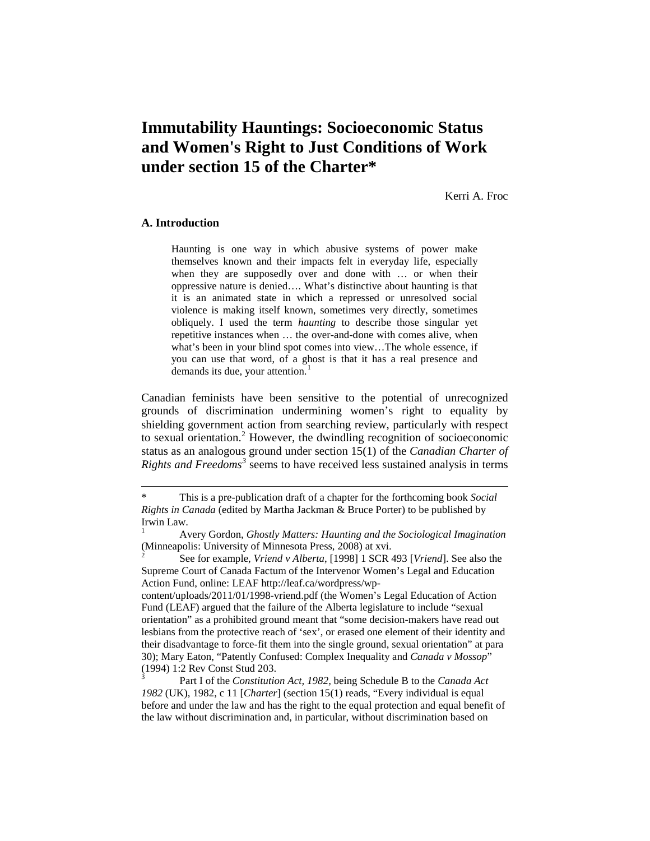# **Immutability Hauntings: Socioeconomic Status and Women's Right to Just Conditions of Work under section 15 of the Charter\***

Kerri A. Froc

## **A. Introduction**

 $\overline{a}$ 

Haunting is one way in which abusive systems of power make themselves known and their impacts felt in everyday life, especially when they are supposedly over and done with … or when their oppressive nature is denied…. What's distinctive about haunting is that it is an animated state in which a repressed or unresolved social violence is making itself known, sometimes very directly, sometimes obliquely. I used the term *haunting* to describe those singular yet repetitive instances when … the over-and-done with comes alive, when what's been in your blind spot comes into view…The whole essence, if you can use that word, of a ghost is that it has a real presence and demands its due, your attention.<sup>[1](#page-0-0)</sup>

Canadian feminists have been sensitive to the potential of unrecognized grounds of discrimination undermining women's right to equality by shielding government action from searching review, particularly with respect to sexual orientation.<sup>[2](#page-0-1)</sup> However, the dwindling recognition of socioeconomic status as an analogous ground under section 15(1) of the *Canadian Charter of Rights and Freedoms[3](#page-0-2)* seems to have received less sustained analysis in terms

content/uploads/2011/01/1998-vriend.pdf (the Women's Legal Education of Action Fund (LEAF) argued that the failure of the Alberta legislature to include "sexual orientation" as a prohibited ground meant that "some decision-makers have read out lesbians from the protective reach of 'sex', or erased one element of their identity and their disadvantage to force-fit them into the single ground, sexual orientation" at para 30); Mary Eaton, "Patently Confused: Complex Inequality and *Canada v Mossop*" (1994) 1:2 Rev Const Stud 203. <sup>3</sup> Part I of the *Constitution Act, 1982,* being Schedule B to the *Canada Act* 

<span id="page-0-2"></span>*1982* (UK), 1982, c 11 [*Charter*] (section 15(1) reads, "Every individual is equal before and under the law and has the right to the equal protection and equal benefit of the law without discrimination and, in particular, without discrimination based on

<span id="page-0-0"></span><sup>\*</sup> This is a pre-publication draft of a chapter for the forthcoming book *Social Rights in Canada* (edited by Martha Jackman & Bruce Porter) to be published by Irwin Law.

<sup>1</sup> Avery Gordon, *Ghostly Matters: Haunting and the Sociological Imagination*  (Minneapolis: University of Minnesota Press, 2008) at xvi.

<span id="page-0-1"></span><sup>2</sup> See for example, *Vriend v Alberta*, [1998] 1 SCR 493 [*Vriend*]. See also the Supreme Court of Canada Factum of the Intervenor Women's Legal and Education Action Fund, online: LEAF http://leaf.ca/wordpress/wp-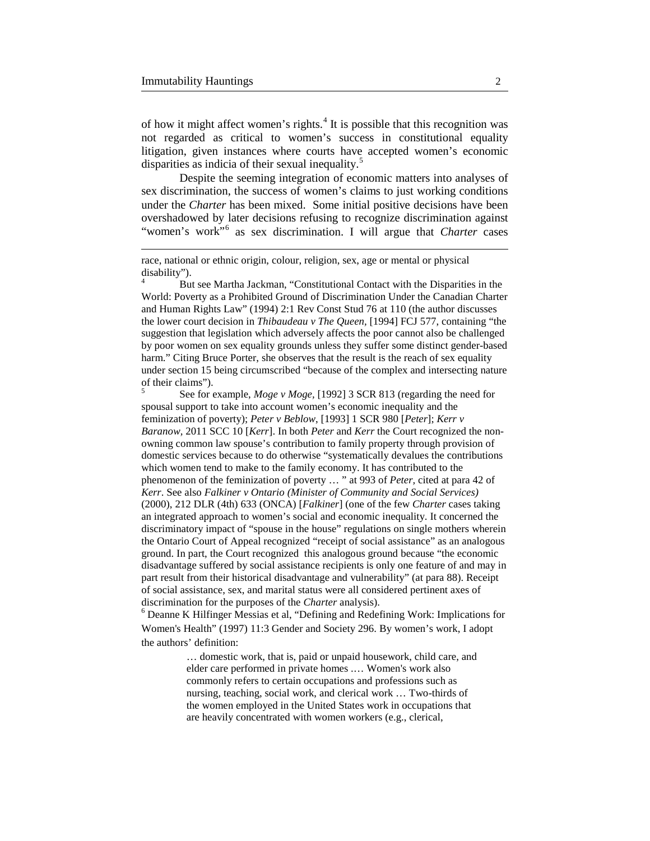$\overline{a}$ 

of how it might affect women's rights. $4$  It is possible that this recognition was not regarded as critical to women's success in constitutional equality litigation, given instances where courts have accepted women's economic disparities as indicia of their sexual inequality.<sup>[5](#page-1-1)</sup>

Despite the seeming integration of economic matters into analyses of sex discrimination, the success of women's claims to just working conditions under the *Charter* has been mixed. Some initial positive decisions have been overshadowed by later decisions refusing to recognize discrimination against "women's work"[6](#page-1-2) as sex discrimination. I will argue that *Charter* cases

<span id="page-1-0"></span>But see Martha Jackman, "Constitutional Contact with the Disparities in the World: Poverty as a Prohibited Ground of Discrimination Under the Canadian Charter and Human Rights Law" (1994) 2:1 Rev Const Stud 76 at 110 (the author discusses the lower court decision in *Thibaudeau v The Queen,* [1994] FCJ 577, containing "the suggestion that legislation which adversely affects the poor cannot also be challenged by poor women on sex equality grounds unless they suffer some distinct gender-based harm." Citing Bruce Porter, she observes that the result is the reach of sex equality under section 15 being circumscribed "because of the complex and intersecting nature of their claims"). <sup>5</sup> See for example, *Moge v Moge,* [1992] 3 SCR 813 (regarding the need for

<span id="page-1-1"></span>spousal support to take into account women's economic inequality and the feminization of poverty); *Peter v Beblow*, [1993] 1 SCR 980 [*Peter*]; *Kerr v Baranow,* 2011 SCC 10 [*Kerr*]. In both *Peter* and *Kerr* the Court recognized the nonowning common law spouse's contribution to family property through provision of domestic services because to do otherwise "systematically devalues the contributions which women tend to make to the family economy. It has contributed to the phenomenon of the feminization of poverty … " at 993 of *Peter,* cited at para 42 of *Kerr*. See also *Falkiner v Ontario (Minister of Community and Social Services)* (2000), 212 DLR (4th) 633 (ONCA) [*Falkiner*] (one of the few *Charter* cases taking an integrated approach to women's social and economic inequality. It concerned the discriminatory impact of "spouse in the house" regulations on single mothers wherein the Ontario Court of Appeal recognized "receipt of social assistance" as an analogous ground. In part, the Court recognized this analogous ground because "the economic disadvantage suffered by social assistance recipients is only one feature of and may in part result from their historical disadvantage and vulnerability" (at para 88). Receipt of social assistance, sex, and marital status were all considered pertinent axes of discrimination for the purposes of the *Charter* analysis).<br><sup>6</sup> Deanne K Hilfinger Messias et al, "Defining and Redefining Work: Implications for

<span id="page-1-2"></span>Women's Health" (1997) 11:3 Gender and Society 296. By women's work, I adopt the authors' definition:

> … domestic work, that is, paid or unpaid housework, child care, and elder care performed in private homes .… Women's work also commonly refers to certain occupations and professions such as nursing, teaching, social work, and clerical work … Two-thirds of the women employed in the United States work in occupations that are heavily concentrated with women workers (e.g., clerical,

race, national or ethnic origin, colour, religion, sex, age or mental or physical disability").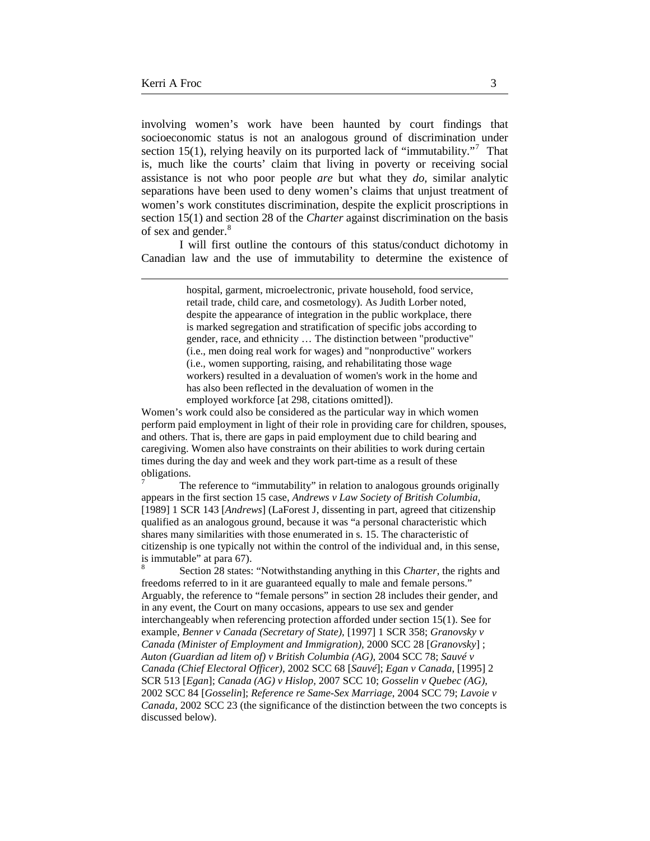$\overline{a}$ 

involving women's work have been haunted by court findings that socioeconomic status is not an analogous ground of discrimination under section 15(1), relying heavily on its purported lack of "immutability."<sup>[7](#page-2-0)</sup> That is, much like the courts' claim that living in poverty or receiving social assistance is not who poor people *are* but what they *do,* similar analytic separations have been used to deny women's claims that unjust treatment of women's work constitutes discrimination, despite the explicit proscriptions in section 15(1) and section 28 of the *Charter* against discrimination on the basis of sex and gender.<sup>[8](#page-2-1)</sup>

I will first outline the contours of this status/conduct dichotomy in Canadian law and the use of immutability to determine the existence of

> hospital, garment, microelectronic, private household, food service, retail trade, child care, and cosmetology). As Judith Lorber noted, despite the appearance of integration in the public workplace, there is marked segregation and stratification of specific jobs according to gender, race, and ethnicity … The distinction between "productive" (i.e., men doing real work for wages) and "nonproductive" workers (i.e., women supporting, raising, and rehabilitating those wage workers) resulted in a devaluation of women's work in the home and has also been reflected in the devaluation of women in the employed workforce [at 298, citations omitted]).

Women's work could also be considered as the particular way in which women perform paid employment in light of their role in providing care for children, spouses, and others. That is, there are gaps in paid employment due to child bearing and caregiving. Women also have constraints on their abilities to work during certain times during the day and week and they work part-time as a result of these obligations.<br><sup>7</sup> The reference to "immutability" in relation to analogous grounds originally

<span id="page-2-0"></span>appears in the first section 15 case, *Andrews v Law Society of British Columbia,* [1989] 1 SCR 143 [*Andrews*] (LaForest J, dissenting in part, agreed that citizenship qualified as an analogous ground, because it was "a personal characteristic which shares many similarities with those enumerated in s. 15. The characteristic of citizenship is one typically not within the control of the individual and, in this sense, is immutable" at para 67).<br><sup>8</sup> Section 28 states: "Notwithstanding anything in this *Charter*, the rights and

<span id="page-2-1"></span>freedoms referred to in it are guaranteed equally to male and female persons." Arguably, the reference to "female persons" in section 28 includes their gender, and in any event, the Court on many occasions, appears to use sex and gender interchangeably when referencing protection afforded under section 15(1). See for example, *Benner v Canada (Secretary of State),* [1997] 1 SCR 358; *Granovsky v Canada (Minister of Employment and Immigration),* 2000 SCC 28 [*Granovsky*] ; *Auton (Guardian ad litem of) v British Columbia (AG),* 2004 SCC 78; *Sauvé v Canada (Chief Electoral Officer),* 2002 SCC 68 [*Sauvé*]; *Egan v Canada*, [1995] 2 SCR 513 [*Egan*]; *Canada (AG) v Hislop,* 2007 SCC 10; *Gosselin v Quebec (AG),*  2002 SCC 84 [*Gosselin*]; *Reference re Same-Sex Marriage*, 2004 SCC 79; *Lavoie v Canada,* 2002 SCC 23 (the significance of the distinction between the two concepts is discussed below).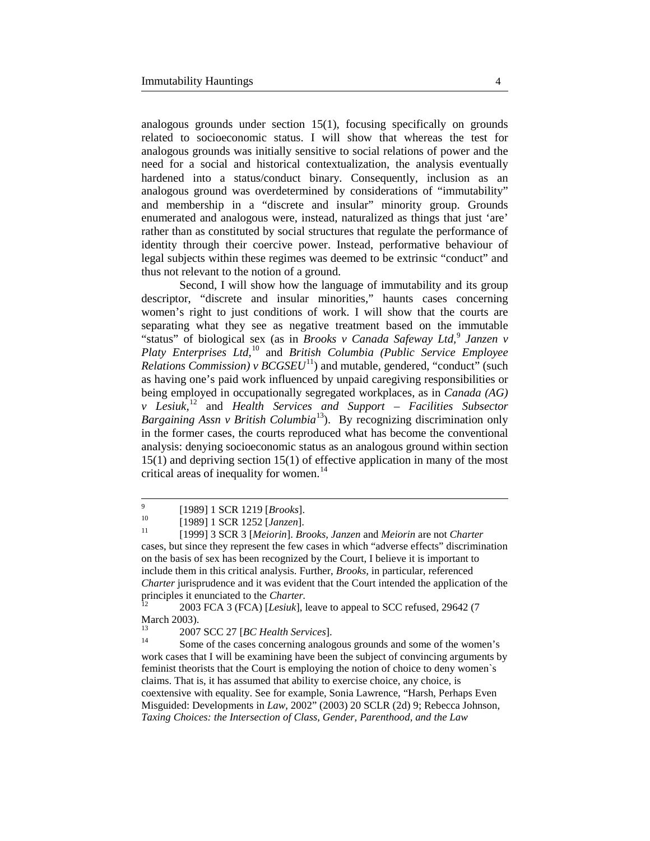analogous grounds under section 15(1), focusing specifically on grounds related to socioeconomic status. I will show that whereas the test for analogous grounds was initially sensitive to social relations of power and the need for a social and historical contextualization, the analysis eventually hardened into a status/conduct binary. Consequently, inclusion as an analogous ground was overdetermined by considerations of "immutability" and membership in a "discrete and insular" minority group. Grounds enumerated and analogous were, instead, naturalized as things that just 'are' rather than as constituted by social structures that regulate the performance of identity through their coercive power. Instead, performative behaviour of legal subjects within these regimes was deemed to be extrinsic "conduct" and thus not relevant to the notion of a ground.

Second, I will show how the language of immutability and its group descriptor, "discrete and insular minorities," haunts cases concerning women's right to just conditions of work. I will show that the courts are separating what they see as negative treatment based on the immutable "status" of biological sex (as in *Brooks v Canada Safeway Ltd,* [9](#page-3-0) *Janzen v Platy Enterprises Ltd,*[10](#page-3-1) and *British Columbia (Public Service Employee Relations Commission)*  $\nu$  *BCGSEU*<sup>11</sup> $)$  and mutable, gendered, "conduct" (such as having one's paid work influenced by unpaid caregiving responsibilities or being employed in occupationally segregated workplaces, as in *Canada (AG) v Lesiuk,*[12](#page-3-3) and *Health Services and Support – Facilities Subsector Bargaining Assn v British Columbia*<sup>[13](#page-3-4)</sup>). By recognizing discrimination only in the former cases, the courts reproduced what has become the conventional analysis: denying socioeconomic status as an analogous ground within section 15(1) and depriving section 15(1) of effective application in many of the most critical areas of inequality for women.<sup>[14](#page-3-5)</sup>

<span id="page-3-3"></span>2003 FCA 3 (FCA) [*Lesiuk*], leave to appeal to SCC refused, 29642 (7 March 2003).<br><sup>13</sup> 2007 SCC 27 [*BC Health Services*].<br><sup>14</sup> Some of the cases concerning analogous grounds and some of the women's

<span id="page-3-4"></span>

<span id="page-3-5"></span>work cases that I will be examining have been the subject of convincing arguments by feminist theorists that the Court is employing the notion of choice to deny women`s claims. That is, it has assumed that ability to exercise choice, any choice, is coextensive with equality. See for example, Sonia Lawrence, "Harsh, Perhaps Even Misguided: Developments in *Law*, 2002" (2003) 20 SCLR (2d) 9; Rebecca Johnson, *Taxing Choices: the Intersection of Class, Gender, Parenthood, and the Law*

<span id="page-3-2"></span><span id="page-3-1"></span><span id="page-3-0"></span><sup>9</sup> [1989] 1 SCR 1219 [*Brooks*]. <sup>10</sup> [1989] 1 SCR 1252 [*Janzen*]. <sup>11</sup> [1999] 3 SCR 3 [*Meiorin*]. *Brooks, Janzen* and *Meiorin* are not *Charter* cases, but since they represent the few cases in which "adverse effects" discrimination on the basis of sex has been recognized by the Court, I believe it is important to include them in this critical analysis. Further, *Brooks,* in particular, referenced *Charter* jurisprudence and it was evident that the Court intended the application of the principles it enunciated to the *Charter*.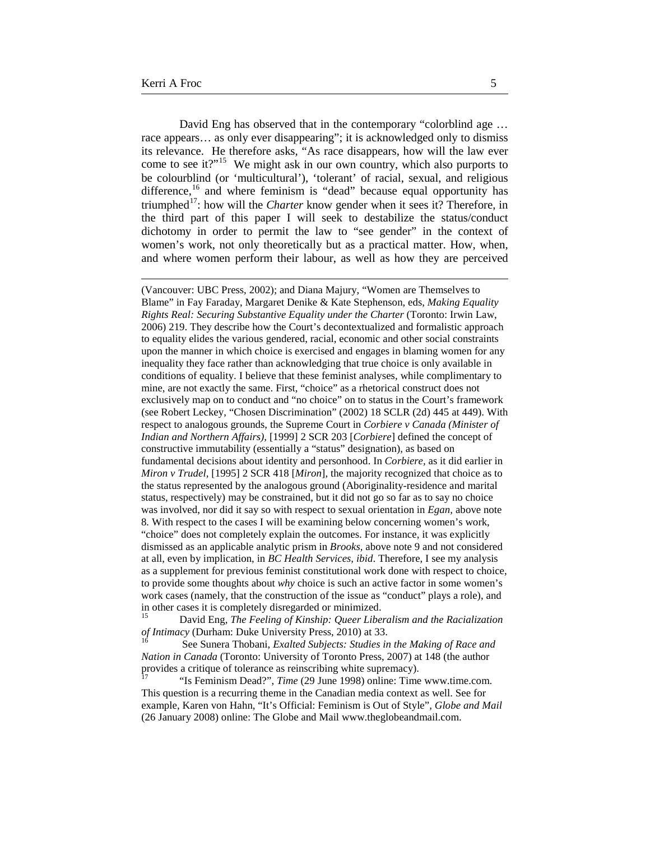$\overline{a}$ 

David Eng has observed that in the contemporary "colorblind age … race appears… as only ever disappearing"; it is acknowledged only to dismiss its relevance. He therefore asks, "As race disappears, how will the law ever come to see it?"<sup>[15](#page-4-0)</sup> We might ask in our own country, which also purports to be colourblind (or 'multicultural'), 'tolerant' of racial, sexual, and religious difference,<sup>[16](#page-4-1)</sup> and where feminism is "dead" because equal opportunity has triumphed<sup>17</sup>: how will the *Charter* know gender when it sees it? Therefore, in the third part of this paper I will seek to destabilize the status/conduct dichotomy in order to permit the law to "see gender" in the context of women's work, not only theoretically but as a practical matter. How, when, and where women perform their labour, as well as how they are perceived

(Vancouver: UBC Press, 2002); and Diana Majury, "Women are Themselves to Blame" in Fay Faraday, Margaret Denike & Kate Stephenson, eds, *Making Equality Rights Real: Securing Substantive Equality under the Charter* (Toronto: Irwin Law, 2006) 219. They describe how the Court's decontextualized and formalistic approach to equality elides the various gendered, racial, economic and other social constraints upon the manner in which choice is exercised and engages in blaming women for any inequality they face rather than acknowledging that true choice is only available in conditions of equality. I believe that these feminist analyses, while complimentary to mine, are not exactly the same. First, "choice" as a rhetorical construct does not exclusively map on to conduct and "no choice" on to status in the Court's framework (see Robert Leckey, "Chosen Discrimination" (2002) 18 SCLR (2d) 445 at 449). With respect to analogous grounds, the Supreme Court in *Corbiere v Canada (Minister of Indian and Northern Affairs),* [1999] 2 SCR 203 [*Corbiere*] defined the concept of constructive immutability (essentially a "status" designation), as based on fundamental decisions about identity and personhood. In *Corbiere,* as it did earlier in *Miron v Trudel,* [1995] 2 SCR 418 [*Miron*], the majority recognized that choice as to the status represented by the analogous ground (Aboriginality-residence and marital status, respectively) may be constrained, but it did not go so far as to say no choice was involved, nor did it say so with respect to sexual orientation in *Egan,* above note 8*.* With respect to the cases I will be examining below concerning women's work, "choice" does not completely explain the outcomes. For instance, it was explicitly dismissed as an applicable analytic prism in *Brooks,* above note 9 and not considered at all, even by implication, in *BC Health Services, ibid*. Therefore, I see my analysis as a supplement for previous feminist constitutional work done with respect to choice, to provide some thoughts about *why* choice is such an active factor in some women's work cases (namely, that the construction of the issue as "conduct" plays a role), and in other cases it is completely disregarded or minimized.

<span id="page-4-0"></span><sup>15</sup> David Eng, *The Feeling of Kinship: Queer Liberalism and the Racialization of Intimacy* (Durham: Duke University Press, 2010) at 33.<br><sup>16</sup> See Sunera Thobani, *Exalted Subjects: Studies in the Making of Race and* 

<span id="page-4-1"></span>*Nation in Canada* (Toronto: University of Toronto Press, 2007) at 148 (the author provides a critique of tolerance as reinscribing white supremacy).

<span id="page-4-2"></span><sup>17</sup> "Is Feminism Dead?", *Time* (29 June 1998) online: Time [www.time.com.](http://www.time.com/) This question is a recurring theme in the Canadian media context as well. See for example, Karen von Hahn, "It's Official: Feminism is Out of Style", *Globe and Mail*  (26 January 2008) online: The Globe and Mail www.theglobeandmail.com.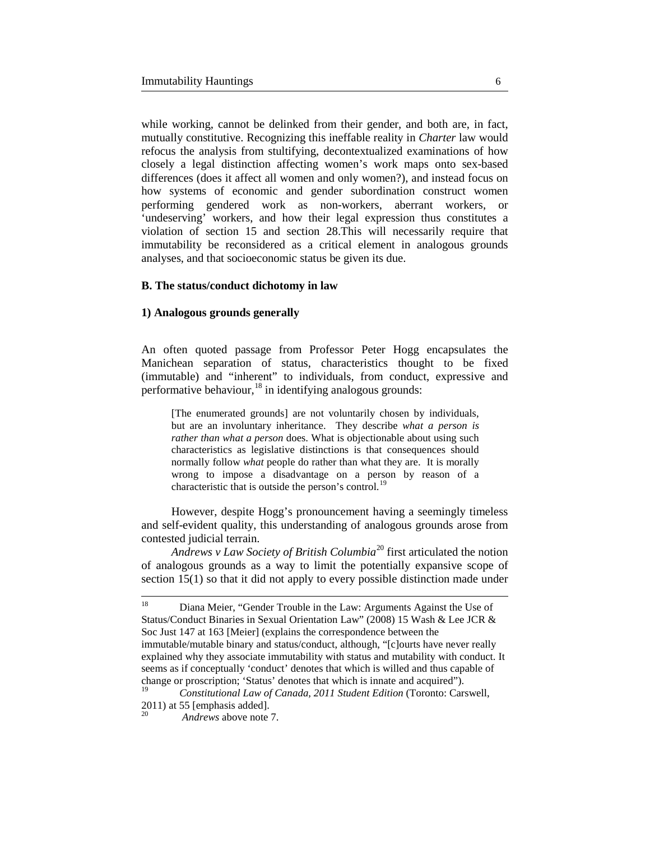while working, cannot be delinked from their gender, and both are, in fact, mutually constitutive. Recognizing this ineffable reality in *Charter* law would refocus the analysis from stultifying, decontextualized examinations of how closely a legal distinction affecting women's work maps onto sex-based differences (does it affect all women and only women?), and instead focus on how systems of economic and gender subordination construct women performing gendered work as non-workers, aberrant workers, or 'undeserving' workers, and how their legal expression thus constitutes a violation of section 15 and section 28.This will necessarily require that immutability be reconsidered as a critical element in analogous grounds analyses, and that socioeconomic status be given its due.

### **B. The status/conduct dichotomy in law**

## **1) Analogous grounds generally**

An often quoted passage from Professor Peter Hogg encapsulates the Manichean separation of status, characteristics thought to be fixed (immutable) and "inherent" to individuals, from conduct, expressive and performative behaviour,  $^{18}$  $^{18}$  $^{18}$  in identifying analogous grounds:

[The enumerated grounds] are not voluntarily chosen by individuals, but are an involuntary inheritance. They describe *what a person is rather than what a person* does. What is objectionable about using such characteristics as legislative distinctions is that consequences should normally follow *what* people do rather than what they are. It is morally wrong to impose a disadvantage on a person by reason of a characteristic that is outside the person's control.<sup>[19](#page-5-1)</sup>

However, despite Hogg's pronouncement having a seemingly timeless and self-evident quality, this understanding of analogous grounds arose from contested judicial terrain.

*Andrews v Law Society of British Columbia*[20](#page-5-2) first articulated the notion of analogous grounds as a way to limit the potentially expansive scope of section 15(1) so that it did not apply to every possible distinction made under

<span id="page-5-0"></span><sup>&</sup>lt;sup>18</sup> Diana Meier, "Gender Trouble in the Law: Arguments Against the Use of Status/Conduct Binaries in Sexual Orientation Law" (2008) 15 Wash & Lee JCR & Soc Just 147 at 163 [Meier] (explains the correspondence between the immutable/mutable binary and status/conduct, although, "[c]ourts have never really explained why they associate immutability with status and mutability with conduct. It seems as if conceptually 'conduct' denotes that which is willed and thus capable of change or proscription; 'Status' denotes that which is innate and acquired").

<span id="page-5-2"></span><span id="page-5-1"></span><sup>19</sup> *Constitutional Law of Canada, 2011 Student Edition* (Toronto: Carswell, 2011) at 55 [emphasis added]. 20 *Andrews* above note 7.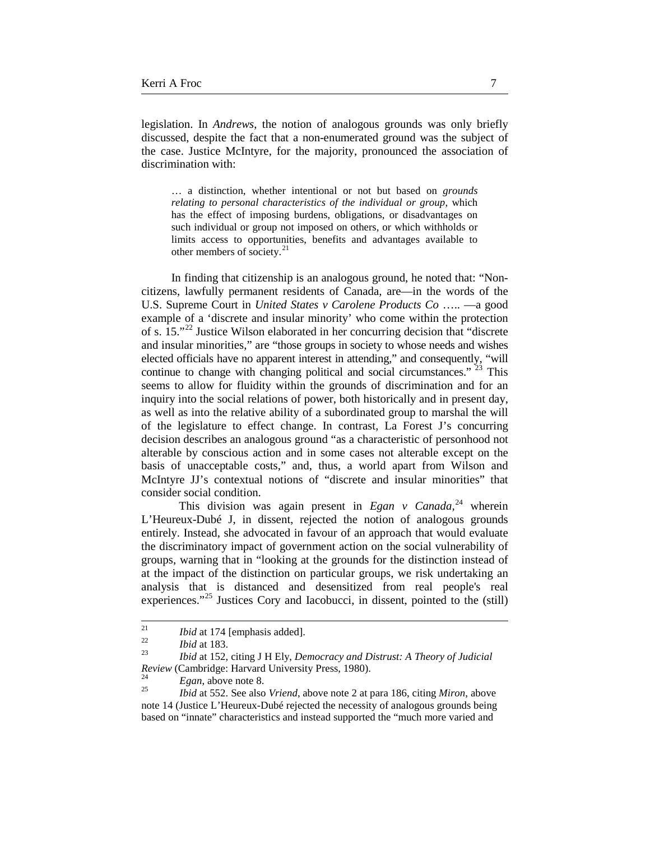legislation. In *Andrews*, the notion of analogous grounds was only briefly discussed, despite the fact that a non-enumerated ground was the subject of the case. Justice McIntyre, for the majority, pronounced the association of discrimination with:

… a distinction, whether intentional or not but based on *grounds relating to personal characteristics of the individual or group*, which has the effect of imposing burdens, obligations, or disadvantages on such individual or group not imposed on others, or which withholds or limits access to opportunities, benefits and advantages available to other members of society.<sup>[21](#page-6-0)</sup>

In finding that citizenship is an analogous ground, he noted that: "Noncitizens, lawfully permanent residents of Canada, are—in the words of the U.S. Supreme Court in *United States v Carolene Products Co* ….. —a good example of a 'discrete and insular minority' who come within the protection of s. 15."[22](#page-6-1) Justice Wilson elaborated in her concurring decision that "discrete and insular minorities," are "those groups in society to whose needs and wishes elected officials have no apparent interest in attending," and consequently, "will continue to change with changing political and social circumstances."  $23$  This seems to allow for fluidity within the grounds of discrimination and for an inquiry into the social relations of power, both historically and in present day, as well as into the relative ability of a subordinated group to marshal the will of the legislature to effect change. In contrast, La Forest J's concurring decision describes an analogous ground "as a characteristic of personhood not alterable by conscious action and in some cases not alterable except on the basis of unacceptable costs," and, thus, a world apart from Wilson and McIntyre JJ's contextual notions of "discrete and insular minorities" that consider social condition.

This division was again present in *Egan v Canada*,<sup>[24](#page-6-3)</sup> wherein L'Heureux-Dubé J, in dissent, rejected the notion of analogous grounds entirely. Instead, she advocated in favour of an approach that would evaluate the discriminatory impact of government action on the social vulnerability of groups, warning that in "looking at the grounds for the distinction instead of at the impact of the distinction on particular groups, we risk undertaking an analysis that is distanced and desensitized from real people's real experiences."<sup>[25](#page-6-4)</sup> Justices Cory and Iacobucci, in dissent, pointed to the (still)

<span id="page-6-2"></span><span id="page-6-1"></span>

<span id="page-6-0"></span><sup>21</sup> *Ibid* at 174 [emphasis added]. <sup>22</sup> *Ibid* at 183. <sup>23</sup> *Ibid* at 152, citing J H Ely, *Democracy and Distrust: A Theory of Judicial Review* (Cambridge: Harvard University Press, 1980). <sup>24</sup> *Egan*, above note 8. <sup>25</sup> *Ibid* at 552. See also *Vriend*, above note 2 at para 186, citing *Miron*, above

<span id="page-6-3"></span>

<span id="page-6-4"></span>note 14 (Justice L'Heureux-Dubé rejected the necessity of analogous grounds being based on "innate" characteristics and instead supported the "much more varied and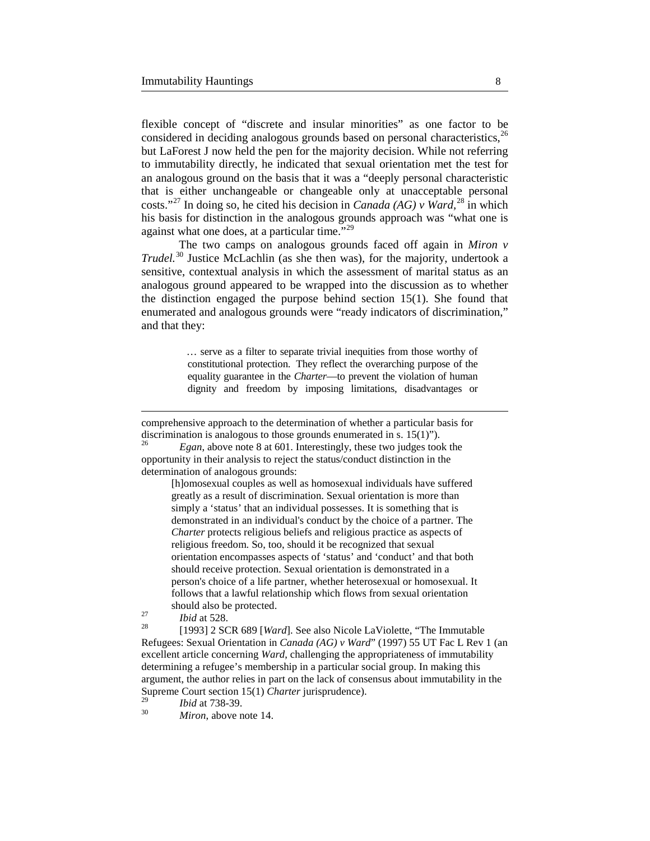flexible concept of "discrete and insular minorities" as one factor to be considered in deciding analogous grounds based on personal characteristics,  $^{26}$  $^{26}$  $^{26}$ but LaForest J now held the pen for the majority decision. While not referring to immutability directly, he indicated that sexual orientation met the test for an analogous ground on the basis that it was a "deeply personal characteristic that is either unchangeable or changeable only at unacceptable personal costs."[27](#page-7-1) In doing so, he cited his decision in *Canada (AG) v Ward,* [28](#page-7-2) in which his basis for distinction in the analogous grounds approach was "what one is against what one does, at a particular time."<sup>[29](#page-7-3)</sup>

The two camps on analogous grounds faced off again in *Miron v Trudel.*[30](#page-7-4) Justice McLachlin (as she then was), for the majority, undertook a sensitive, contextual analysis in which the assessment of marital status as an analogous ground appeared to be wrapped into the discussion as to whether the distinction engaged the purpose behind section 15(1). She found that enumerated and analogous grounds were "ready indicators of discrimination," and that they:

> … serve as a filter to separate trivial inequities from those worthy of constitutional protection. They reflect the overarching purpose of the equality guarantee in the *Charter*—to prevent the violation of human dignity and freedom by imposing limitations, disadvantages or

comprehensive approach to the determination of whether a particular basis for discrimination is analogous to those grounds enumerated in s. 15(1)").<br><sup>26</sup> *Egan*, above note 8 at 601. Interestingly, these two judges took the

<span id="page-7-0"></span>opportunity in their analysis to reject the status/conduct distinction in the determination of analogous grounds:

[h]omosexual couples as well as homosexual individuals have suffered greatly as a result of discrimination. Sexual orientation is more than simply a 'status' that an individual possesses. It is something that is demonstrated in an individual's conduct by the choice of a partner. The *Charter* protects religious beliefs and religious practice as aspects of religious freedom. So, too, should it be recognized that sexual orientation encompasses aspects of 'status' and 'conduct' and that both should receive protection. Sexual orientation is demonstrated in a person's choice of a life partner, whether heterosexual or homosexual. It follows that a lawful relationship which flows from sexual orientation

 $\overline{a}$ 

<span id="page-7-2"></span><span id="page-7-1"></span>should also be protected.<br>
27 *Ibid* at 528.<br>
28 [1993] 2 SCR 689 [*Ward*]. See also Nicole LaViolette, "The Immutable Refugees: Sexual Orientation in *Canada (AG) v Ward*" (1997) 55 UT Fac L Rev 1 (an excellent article concerning *Ward*, challenging the appropriateness of immutability determining a refugee's membership in a particular social group. In making this argument, the author relies in part on the lack of consensus about immutability in the Supreme Court section 15(1) *Charter* jurisprudence).

<span id="page-7-4"></span><span id="page-7-3"></span><sup>29</sup> *Ibid* at 738-39. 30 *Miron*, above note 14.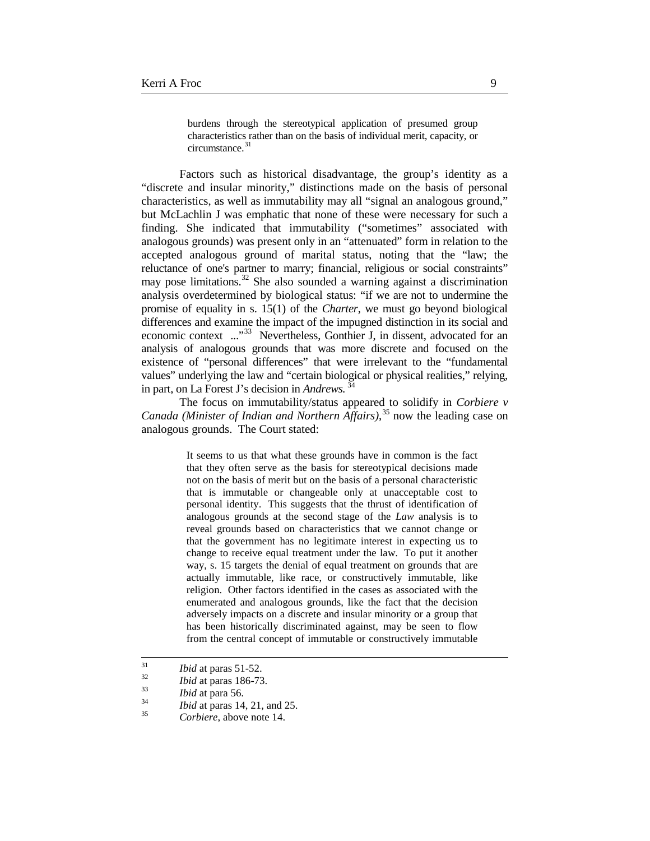burdens through the stereotypical application of presumed group characteristics rather than on the basis of individual merit, capacity, or circumstance.<sup>[31](#page-8-0)</sup>

Factors such as historical disadvantage, the group's identity as a "discrete and insular minority," distinctions made on the basis of personal characteristics, as well as immutability may all "signal an analogous ground," but McLachlin J was emphatic that none of these were necessary for such a finding. She indicated that immutability ("sometimes" associated with analogous grounds) was present only in an "attenuated" form in relation to the accepted analogous ground of marital status, noting that the "law; the reluctance of one's partner to marry; financial, religious or social constraints" may pose limitations.<sup>[32](#page-8-1)</sup> She also sounded a warning against a discrimination analysis overdetermined by biological status: "if we are not to undermine the promise of equality in s. 15(1) of the *Charter*, we must go beyond biological differences and examine the impact of the impugned distinction in its social and economic context ..."<sup>[33](#page-8-2)</sup> Nevertheless, Gonthier J, in dissent, advocated for an analysis of analogous grounds that was more discrete and focused on the existence of "personal differences" that were irrelevant to the "fundamental values" underlying the law and "certain biological or physical realities," relying, in part, on La Forest J's decision in *Andrews.* [34](#page-8-3)

The focus on immutability/status appeared to solidify in *Corbiere v Canada (Minister of Indian and Northern Affairs)*, [35](#page-8-4) now the leading case on analogous grounds. The Court stated:

> It seems to us that what these grounds have in common is the fact that they often serve as the basis for stereotypical decisions made not on the basis of merit but on the basis of a personal characteristic that is immutable or changeable only at unacceptable cost to personal identity. This suggests that the thrust of identification of analogous grounds at the second stage of the *Law* analysis is to reveal grounds based on characteristics that we cannot change or that the government has no legitimate interest in expecting us to change to receive equal treatment under the law. To put it another way, s. 15 targets the denial of equal treatment on grounds that are actually immutable, like race, or constructively immutable, like religion. Other factors identified in the cases as associated with the enumerated and analogous grounds, like the fact that the decision adversely impacts on a discrete and insular minority or a group that has been historically discriminated against, may be seen to flow from the central concept of immutable or constructively immutable

<span id="page-8-3"></span><span id="page-8-2"></span><span id="page-8-1"></span>

<span id="page-8-0"></span><sup>31</sup> *Ibid* at paras 51-52. <sup>32</sup> *Ibid* at paras 186-73. <sup>33</sup> *Ibid* at para 56. <sup>34</sup> *Ibid* at paras 14, 21, and 25. <sup>35</sup> *Corbiere*, above note 14.

<span id="page-8-4"></span>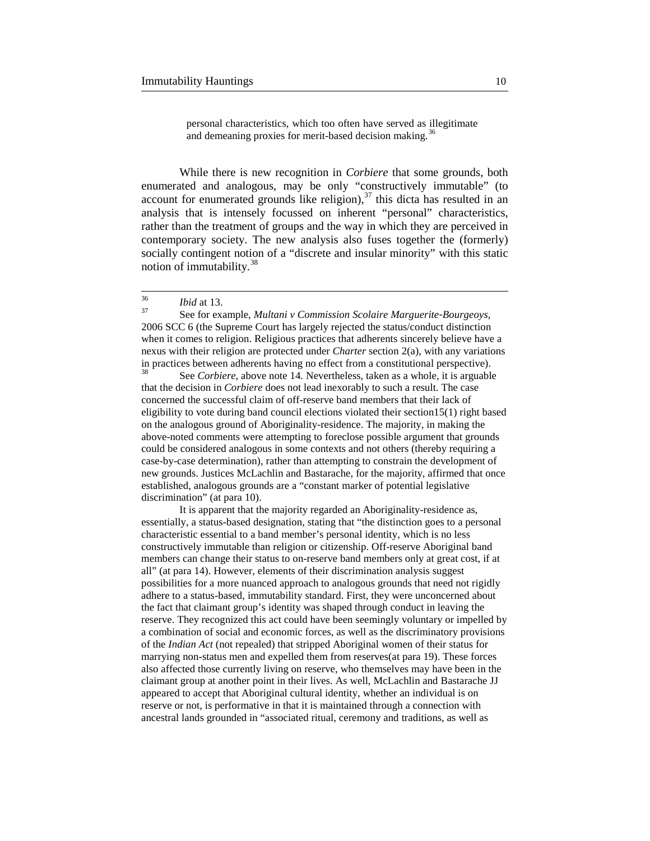personal characteristics, which too often have served as illegitimate and demeaning proxies for merit-based decision making.<sup>[36](#page-9-0)</sup>

While there is new recognition in *Corbiere* that some grounds, both enumerated and analogous, may be only "constructively immutable" (to account for enumerated grounds like religion), $37$  this dicta has resulted in an analysis that is intensely focussed on inherent "personal" characteristics, rather than the treatment of groups and the way in which they are perceived in contemporary society. The new analysis also fuses together the (formerly) socially contingent notion of a "discrete and insular minority" with this static notion of immutability. $38$ 

<span id="page-9-1"></span><span id="page-9-0"></span><sup>36</sup> *Ibid* at 13. <sup>37</sup> See for example, *Multani v Commission Scolaire Marguerite-Bourgeoys,*  2006 SCC 6 (the Supreme Court has largely rejected the status/conduct distinction when it comes to religion. Religious practices that adherents sincerely believe have a nexus with their religion are protected under *Charter* section 2(a), with any variations in practices between adherents having no effect from a constitutional perspective).<br><sup>38</sup> See *Corbiere*, above note 14. Nevertheless, taken as a whole, it is arguable

<span id="page-9-2"></span>that the decision in *Corbiere* does not lead inexorably to such a result. The case concerned the successful claim of off-reserve band members that their lack of eligibility to vote during band council elections violated their section15(1) right based on the analogous ground of Aboriginality-residence. The majority, in making the above-noted comments were attempting to foreclose possible argument that grounds could be considered analogous in some contexts and not others (thereby requiring a case-by-case determination), rather than attempting to constrain the development of new grounds. Justices McLachlin and Bastarache, for the majority, affirmed that once established, analogous grounds are a "constant marker of potential legislative discrimination" (at para 10).

It is apparent that the majority regarded an Aboriginality-residence as, essentially, a status-based designation, stating that "the distinction goes to a personal characteristic essential to a band member's personal identity, which is no less constructively immutable than religion or citizenship. Off-reserve Aboriginal band members can change their status to on-reserve band members only at great cost, if at all" (at para 14). However, elements of their discrimination analysis suggest possibilities for a more nuanced approach to analogous grounds that need not rigidly adhere to a status-based, immutability standard. First, they were unconcerned about the fact that claimant group's identity was shaped through conduct in leaving the reserve. They recognized this act could have been seemingly voluntary or impelled by a combination of social and economic forces, as well as the discriminatory provisions of the *Indian Act* (not repealed) that stripped Aboriginal women of their status for marrying non-status men and expelled them from reserves(at para 19). These forces also affected those currently living on reserve, who themselves may have been in the claimant group at another point in their lives. As well, McLachlin and Bastarache JJ appeared to accept that Aboriginal cultural identity, whether an individual is on reserve or not, is performative in that it is maintained through a connection with ancestral lands grounded in "associated ritual, ceremony and traditions, as well as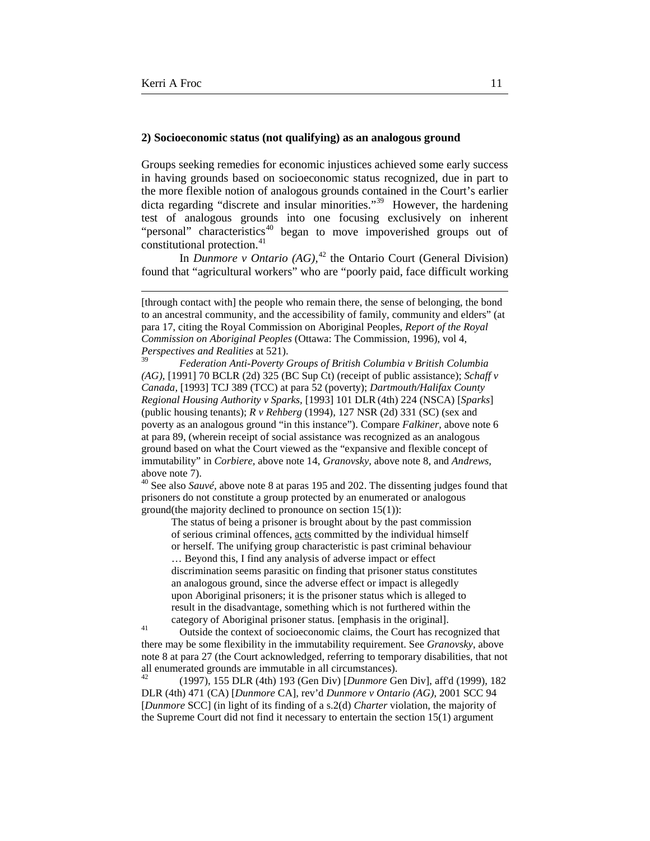$\overline{a}$ 

#### **2) Socioeconomic status (not qualifying) as an analogous ground**

Groups seeking remedies for economic injustices achieved some early success in having grounds based on socioeconomic status recognized, due in part to the more flexible notion of analogous grounds contained in the Court's earlier dicta regarding "discrete and insular minorities."<sup>39</sup> However, the hardening test of analogous grounds into one focusing exclusively on inherent "personal" characteristics<sup>[40](#page-10-1)</sup> began to move impoverished groups out of constitutional protection.<sup>41</sup>

In *Dunmore v Ontario (AG),*[42](#page-10-3) the Ontario Court (General Division) found that "agricultural workers" who are "poorly paid, face difficult working

<span id="page-10-1"></span>prisoners do not constitute a group protected by an enumerated or analogous ground(the majority declined to pronounce on section 15(1)):

The status of being a prisoner is brought about by the past commission of serious criminal offences, acts committed by the individual himself

or herself. The unifying group characteristic is past criminal behaviour … Beyond this, I find any analysis of adverse impact or effect discrimination seems parasitic on finding that prisoner status constitutes an analogous ground, since the adverse effect or impact is allegedly upon Aboriginal prisoners; it is the prisoner status which is alleged to result in the disadvantage, something which is not furthered within the

<span id="page-10-2"></span>category of Aboriginal prisoner status. [emphasis in the original].<br><sup>41</sup> Outside the context of socioeconomic claims, the Court has recognized that there may be some flexibility in the immutability requirement. See *Granovsky*, above note 8 at para 27 (the Court acknowledged, referring to temporary disabilities, that not all enumerated grounds are immutable in all circumstances).<br> $^{42}$  (1007) 155 DJ B (4th) 102 (Can Div) Dynamore C

<span id="page-10-3"></span><sup>42</sup> (1997), 155 DLR (4th) 193 (Gen Div) [*Dunmore* Gen Div], aff'd (1999), 182 DLR (4th) 471 (CA) [*Dunmore* CA], rev'd *Dunmore v Ontario (AG)*, 2001 SCC 94 [*Dunmore* SCC] (in light of its finding of a s.2(d) *Charter* violation, the majority of the Supreme Court did not find it necessary to entertain the section 15(1) argument

<sup>[</sup>through contact with] the people who remain there, the sense of belonging, the bond to an ancestral community, and the accessibility of family, community and elders" (at para 17, citing the Royal Commission on Aboriginal Peoples, *Report of the Royal Commission on Aboriginal Peoples* (Ottawa: The Commission, 1996), vol 4, *Perspectives and Realities* at 521).

<span id="page-10-0"></span><sup>39</sup> *Federation Anti-Poverty Groups of British Columbia v British Columbia (AG),* [1991] 70 BCLR (2d) 325 (BC Sup Ct) (receipt of public assistance); *Schaff v Canada,* [1993] TCJ 389 (TCC) at para 52 (poverty); *Dartmouth/Halifax County Regional Housing Authority v Sparks,* [1993] 101 DLR(4th) 224 (NSCA) [*Sparks*] (public housing tenants); *R v Rehberg* (1994), 127 NSR (2d) 331 (SC) (sex and poverty as an analogous ground "in this instance"). Compare *Falkiner,* above note 6 at para 89, (wherein receipt of social assistance was recognized as an analogous ground based on what the Court viewed as the "expansive and flexible concept of immutability" in *Corbiere,* above note 14, *Granovsky,* above note 8, and *Andrews,*  above note 7).<br><sup>40</sup> See also *Sauvé*, above note 8 at paras 195 and 202. The dissenting judges found that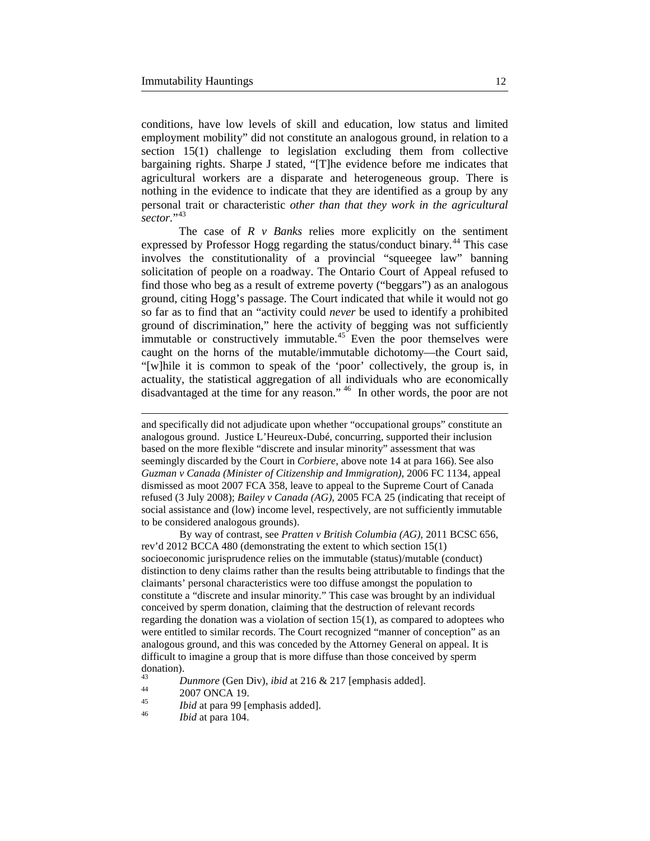conditions, have low levels of skill and education, low status and limited employment mobility" did not constitute an analogous ground, in relation to a section 15(1) challenge to legislation excluding them from collective bargaining rights. Sharpe J stated, "[T]he evidence before me indicates that agricultural workers are a disparate and heterogeneous group. There is nothing in the evidence to indicate that they are identified as a group by any personal trait or characteristic *other than that they work in the agricultural sector.*"[43](#page-11-0)

The case of *R v Banks* relies more explicitly on the sentiment expressed by Professor Hogg regarding the status/conduct binary*.* [44](#page-11-1) This case involves the constitutionality of a provincial "squeegee law" banning solicitation of people on a roadway. The Ontario Court of Appeal refused to find those who beg as a result of extreme poverty ("beggars") as an analogous ground, citing Hogg's passage. The Court indicated that while it would not go so far as to find that an "activity could *never* be used to identify a prohibited ground of discrimination," here the activity of begging was not sufficiently immutable or constructively immutable.<sup>[45](#page-11-2)</sup> Even the poor themselves were caught on the horns of the mutable/immutable dichotomy—the Court said, "[w]hile it is common to speak of the 'poor' collectively, the group is, in actuality, the statistical aggregation of all individuals who are economically disadvantaged at the time for any reason." [46](#page-11-3) In other words, the poor are not

By way of contrast, see *Pratten v British Columbia (AG),* 2011 BCSC 656, rev'd 2012 BCCA 480 (demonstrating the extent to which section 15(1) socioeconomic jurisprudence relies on the immutable (status)/mutable (conduct) distinction to deny claims rather than the results being attributable to findings that the claimants' personal characteristics were too diffuse amongst the population to constitute a "discrete and insular minority." This case was brought by an individual conceived by sperm donation, claiming that the destruction of relevant records regarding the donation was a violation of section 15(1), as compared to adoptees who were entitled to similar records. The Court recognized "manner of conception" as an analogous ground, and this was conceded by the Attorney General on appeal. It is difficult to imagine a group that is more diffuse than those conceived by sperm  $\frac{domain}{43}$ .

<span id="page-11-0"></span><sup>43</sup> *Dunmore* (Gen Div)*, ibid* at 216 & 217 [emphasis added]. <sup>44</sup> 2007 ONCA 19. <sup>45</sup> *Ibid* at para 99 [emphasis added]. <sup>46</sup> *Ibid* at para 104.

<span id="page-11-1"></span>

 $\overline{a}$ 

and specifically did not adjudicate upon whether "occupational groups" constitute an analogous ground. Justice L'Heureux-Dubé, concurring, supported their inclusion based on the more flexible "discrete and insular minority" assessment that was seemingly discarded by the Court in *Corbiere*, above note 14 at para 166). See also *Guzman v Canada (Minister of Citizenship and Immigration),* 2006 FC 1134, appeal dismissed as moot 2007 FCA 358, leave to appeal to the Supreme Court of Canada refused (3 July 2008); *Bailey v Canada (AG),* 2005 FCA 25 (indicating that receipt of social assistance and (low) income level, respectively, are not sufficiently immutable to be considered analogous grounds).

<span id="page-11-3"></span><span id="page-11-2"></span>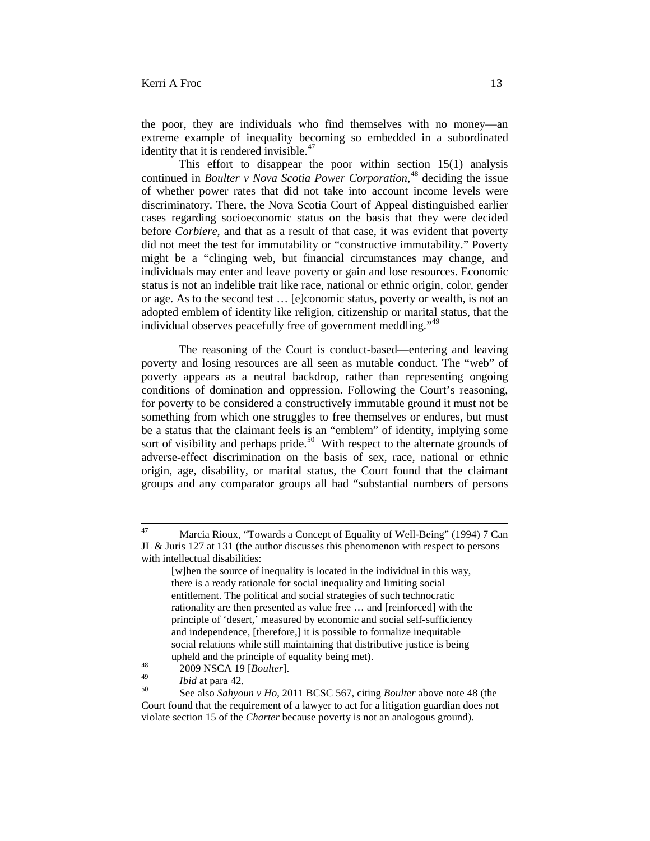the poor, they are individuals who find themselves with no money—an extreme example of inequality becoming so embedded in a subordinated identity that it is rendered invisible.<sup>[47](#page-12-0)</sup>

This effort to disappear the poor within section 15(1) analysis continued in *Boulter v Nova Scotia Power Corporation,*[48](#page-12-1) deciding the issue of whether power rates that did not take into account income levels were discriminatory. There, the Nova Scotia Court of Appeal distinguished earlier cases regarding socioeconomic status on the basis that they were decided before *Corbiere*, and that as a result of that case, it was evident that poverty did not meet the test for immutability or "constructive immutability." Poverty might be a "clinging web, but financial circumstances may change, and individuals may enter and leave poverty or gain and lose resources. Economic status is not an indelible trait like race, national or ethnic origin, color, gender or age. As to the second test … [e]conomic status, poverty or wealth, is not an adopted emblem of identity like religion, citizenship or marital status, that the individual observes peacefully free of government meddling."<sup>[49](#page-12-2)</sup>

The reasoning of the Court is conduct-based—entering and leaving poverty and losing resources are all seen as mutable conduct. The "web" of poverty appears as a neutral backdrop, rather than representing ongoing conditions of domination and oppression. Following the Court's reasoning, for poverty to be considered a constructively immutable ground it must not be something from which one struggles to free themselves or endures, but must be a status that the claimant feels is an "emblem" of identity, implying some sort of visibility and perhaps pride.<sup>[50](#page-12-3)</sup> With respect to the alternate grounds of adverse-effect discrimination on the basis of sex, race, national or ethnic origin, age, disability, or marital status, the Court found that the claimant groups and any comparator groups all had "substantial numbers of persons

<span id="page-12-0"></span><sup>&</sup>lt;sup>47</sup> Marcia Rioux, "Towards a Concept of Equality of Well-Being" (1994) 7 Can JL & Juris 127 at 131 (the author discusses this phenomenon with respect to persons with intellectual disabilities:

<sup>[</sup>w]hen the source of inequality is located in the individual in this way, there is a ready rationale for social inequality and limiting social entitlement. The political and social strategies of such technocratic rationality are then presented as value free … and [reinforced] with the principle of 'desert,' measured by economic and social self-sufficiency and independence, [therefore,] it is possible to formalize inequitable social relations while still maintaining that distributive justice is being

upheld and the principle of equality being met).<br>
<sup>48</sup> 2009 NSCA 19 [*Boulter*].

<span id="page-12-3"></span><span id="page-12-2"></span><span id="page-12-1"></span>

<sup>49</sup> *Ibid* at para 42. <sup>50</sup> See also *Sahyoun v Ho*, 2011 BCSC 567, citing *Boulter* above note 48 (the Court found that the requirement of a lawyer to act for a litigation guardian does not violate section 15 of the *Charter* because poverty is not an analogous ground).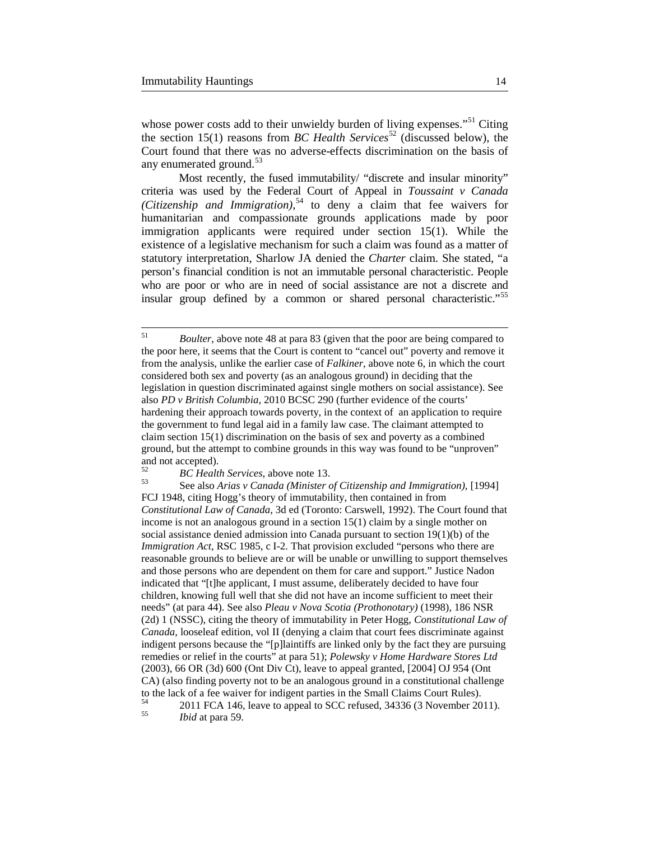whose power costs add to their unwieldy burden of living expenses."<sup>[51](#page-13-0)</sup> Citing the section 15(1) reasons from *BC Health Services*<sup>[52](#page-13-1)</sup> (discussed below), the Court found that there was no adverse-effects discrimination on the basis of any enumerated ground.<sup>[53](#page-13-2)</sup>

Most recently, the fused immutability/ "discrete and insular minority" criteria was used by the Federal Court of Appeal in *Toussaint v Canada (Citizenship and Immigration)*, [54](#page-13-3) to deny a claim that fee waivers for humanitarian and compassionate grounds applications made by poor immigration applicants were required under section 15(1). While the existence of a legislative mechanism for such a claim was found as a matter of statutory interpretation, Sharlow JA denied the *Charter* claim. She stated, "a person's financial condition is not an immutable personal characteristic. People who are poor or who are in need of social assistance are not a discrete and insular group defined by a common or shared personal characteristic."<sup>[55](#page-13-4)</sup>

<span id="page-13-0"></span> <sup>51</sup> *Boulter*, above note 48 at para 83 (given that the poor are being compared to the poor here, it seems that the Court is content to "cancel out" poverty and remove it from the analysis, unlike the earlier case of *Falkiner,* above note 6, in which the court considered both sex and poverty (as an analogous ground) in deciding that the legislation in question discriminated against single mothers on social assistance). See also *PD v British Columbia,* 2010 BCSC 290 (further evidence of the courts' hardening their approach towards poverty, in the context of an application to require the government to fund legal aid in a family law case. The claimant attempted to claim section 15(1) discrimination on the basis of sex and poverty as a combined ground, but the attempt to combine grounds in this way was found to be "unproven" and not accepted).

<span id="page-13-2"></span><span id="page-13-1"></span>

<sup>&</sup>lt;sup>52</sup> *BC Health Services, above note 13.* See also *Arias v Canada (Minister of Citizenship and Immigration),* [1994] FCJ 1948, citing Hogg's theory of immutability, then contained in from *Constitutional Law of Canada*, 3d ed (Toronto: Carswell, 1992). The Court found that income is not an analogous ground in a section 15(1) claim by a single mother on social assistance denied admission into Canada pursuant to section 19(1)(b) of the *Immigration Act, RSC 1985, c I-2. That provision excluded "persons who there are* reasonable grounds to believe are or will be unable or unwilling to support themselves and those persons who are dependent on them for care and support." Justice Nadon indicated that "[t]he applicant, I must assume, deliberately decided to have four children, knowing full well that she did not have an income sufficient to meet their needs" (at para 44). See also *Pleau v Nova Scotia (Prothonotary)* (1998)*,* 186 NSR (2d) 1 (NSSC), citing the theory of immutability in Peter Hogg, *Constitutional Law of Canada*, looseleaf edition, vol II (denying a claim that court fees discriminate against indigent persons because the "[p]laintiffs are linked only by the fact they are pursuing remedies or relief in the courts" at para 51); *Polewsky v Home Hardware Stores Ltd*  (2003), 66 OR (3d) 600 (Ont Div Ct), leave to appeal granted, [2004] OJ 954 (Ont CA) (also finding poverty not to be an analogous ground in a constitutional challenge to the lack of a fee waiver for indigent parties in the Small Claims Court Rules).

<span id="page-13-4"></span><span id="page-13-3"></span><sup>54</sup> 2011 FCA 146, leave to appeal to SCC refused, 34336 (3 November 2011). <sup>55</sup> *Ibid* at para 59.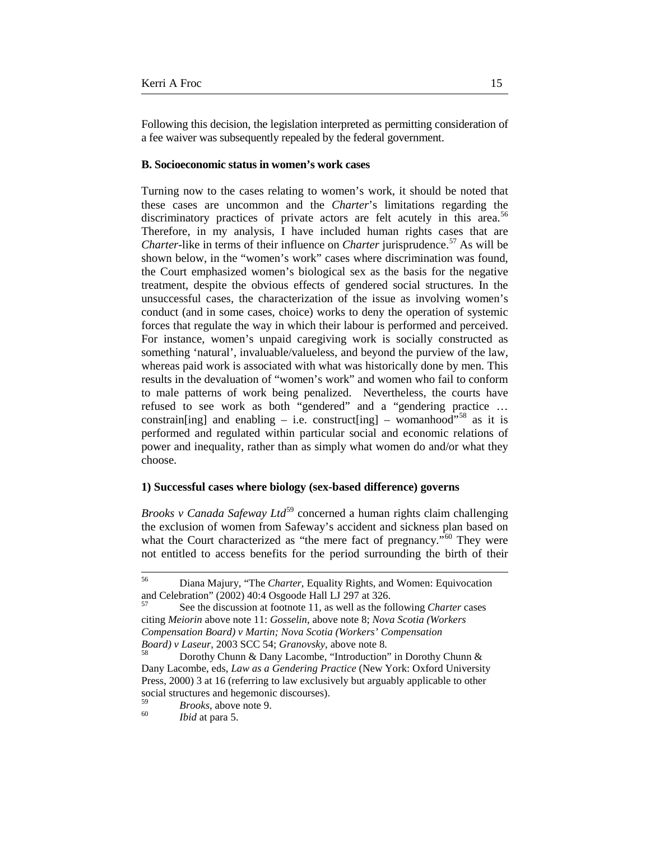Following this decision, the legislation interpreted as permitting consideration of a fee waiver was subsequently repealed by the federal government.

#### **B. Socioeconomic status in women's work cases**

Turning now to the cases relating to women's work, it should be noted that these cases are uncommon and the *Charter*'s limitations regarding the discriminatory practices of private actors are felt acutely in this area.<sup>[56](#page-14-0)</sup> Therefore, in my analysis, I have included human rights cases that are *Charter-like in terms of their influence on <i>Charter jurisprudence*.<sup>[57](#page-14-1)</sup> As will be shown below, in the "women's work" cases where discrimination was found, the Court emphasized women's biological sex as the basis for the negative treatment, despite the obvious effects of gendered social structures. In the unsuccessful cases, the characterization of the issue as involving women's conduct (and in some cases, choice) works to deny the operation of systemic forces that regulate the way in which their labour is performed and perceived. For instance, women's unpaid caregiving work is socially constructed as something 'natural', invaluable/valueless, and beyond the purview of the law, whereas paid work is associated with what was historically done by men. This results in the devaluation of "women's work" and women who fail to conform to male patterns of work being penalized. Nevertheless, the courts have refused to see work as both "gendered" and a "gendering practice … constrain[ing] and enabling – i.e. construct[ing] – womanhood"<sup>[58](#page-14-2)</sup> as it is performed and regulated within particular social and economic relations of power and inequality, rather than as simply what women do and/or what they choose.

## **1) Successful cases where biology (sex-based difference) governs**

*Brooks v Canada Safeway Ltd*<sup>[59](#page-14-3)</sup> concerned a human rights claim challenging the exclusion of women from Safeway's accident and sickness plan based on what the Court characterized as "the mere fact of pregnancy."<sup>[60](#page-14-4)</sup> They were not entitled to access benefits for the period surrounding the birth of their

<span id="page-14-0"></span> <sup>56</sup> Diana Majury, "The *Charter,* Equality Rights, and Women: Equivocation and Celebration" (2002) 40:4 Osgoode Hall LJ 297 at 326.

<span id="page-14-1"></span><sup>57</sup> See the discussion at footnote 11, as well as the following *Charter* cases citing *Meiorin* above note 11: *Gosselin*, above note 8; *Nova Scotia (Workers Compensation Board) v Martin; Nova Scotia (Workers' Compensation Board) v Laseur*, 2003 SCC 54; *Granovsky*, above note 8.<br><sup>58</sup> Dorothy Chunn & Dany Lacombe, "Introduction" in Dorothy Chunn &

<span id="page-14-2"></span>Dany Lacombe, eds, *Law as a Gendering Practice* (New York: Oxford University Press, 2000) 3 at 16 (referring to law exclusively but arguably applicable to other social structures and hegemonic discourses).

<span id="page-14-4"></span><span id="page-14-3"></span><sup>59</sup> *Brooks*, above note 9. <sup>60</sup> *Ibid* at para 5.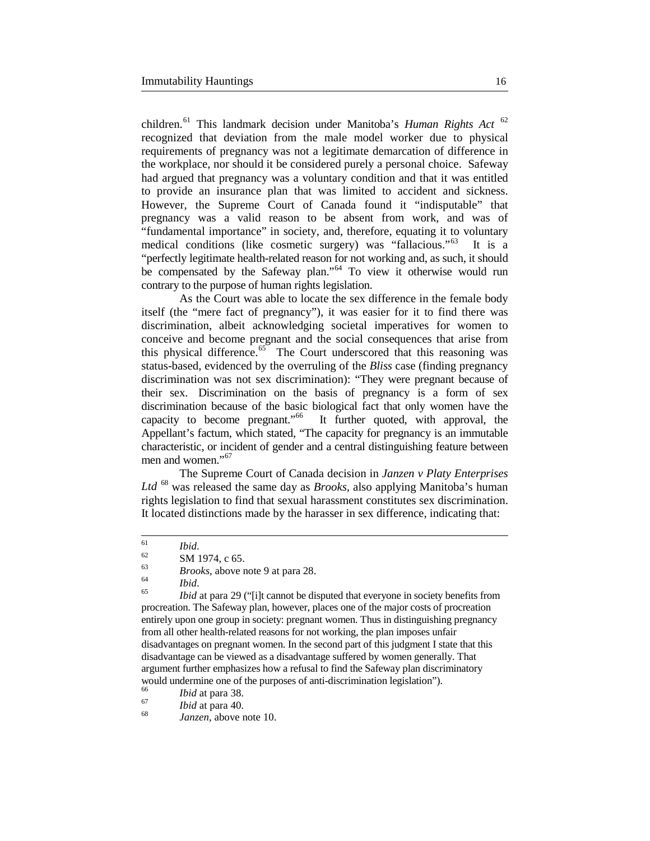children.[61](#page-15-0) This landmark decision under Manitoba's *Human Rights Act* [62](#page-15-1) recognized that deviation from the male model worker due to physical requirements of pregnancy was not a legitimate demarcation of difference in the workplace, nor should it be considered purely a personal choice. Safeway had argued that pregnancy was a voluntary condition and that it was entitled to provide an insurance plan that was limited to accident and sickness. However, the Supreme Court of Canada found it "indisputable" that pregnancy was a valid reason to be absent from work, and was of "fundamental importance" in society, and, therefore, equating it to voluntary medical conditions (like cosmetic surgery) was "fallacious."[63](#page-15-2) It is a "perfectly legitimate health-related reason for not working and, as such, it should be compensated by the Safeway plan."<sup>[64](#page-15-3)</sup> To view it otherwise would run contrary to the purpose of human rights legislation.

As the Court was able to locate the sex difference in the female body itself (the "mere fact of pregnancy"), it was easier for it to find there was discrimination, albeit acknowledging societal imperatives for women to conceive and become pregnant and the social consequences that arise from this physical difference. $65$  The Court underscored that this reasoning was status-based, evidenced by the overruling of the *Bliss* case (finding pregnancy discrimination was not sex discrimination): "They were pregnant because of their sex. Discrimination on the basis of pregnancy is a form of sex discrimination because of the basic biological fact that only women have the capacity to become pregnant."<sup>66</sup> It further quoted, with approval, the It further quoted, with approval, the Appellant's factum, which stated, "The capacity for pregnancy is an immutable characteristic, or incident of gender and a central distinguishing feature between men and women."<sup>[67](#page-15-6)</sup>

The Supreme Court of Canada decision in *Janzen v Platy Enterprises Ltd* [68](#page-15-7) was released the same day as *Brooks,* also applying Manitoba's human rights legislation to find that sexual harassment constitutes sex discrimination. It located distinctions made by the harasser in sex difference, indicating that:

<span id="page-15-4"></span><span id="page-15-3"></span><span id="page-15-2"></span>

<span id="page-15-1"></span><span id="page-15-0"></span><sup>61</sup> *Ibid*. <sup>62</sup> SM 1974, c 65. <sup>63</sup> *Brooks*, above note 9 at para 28. 64 *Ibid*. <sup>65</sup> *Ibid* at para 29 ("[i]t cannot be disputed that everyone in society benefits from procreation. The Safeway plan, however, places one of the major costs of procreation entirely upon one group in society: pregnant women. Thus in distinguishing pregnancy from all other health-related reasons for not working, the plan imposes unfair disadvantages on pregnant women. In the second part of this judgment I state that this disadvantage can be viewed as a disadvantage suffered by women generally. That argument further emphasizes how a refusal to find the Safeway plan discriminatory would undermine one of the purposes of anti-discrimination legislation").<br>
<sup>66</sup> *Ibid* at para 38.<br> *Ibid* at para 40.<br> *Janzen*, above note 10.

<span id="page-15-5"></span>

<span id="page-15-7"></span><span id="page-15-6"></span>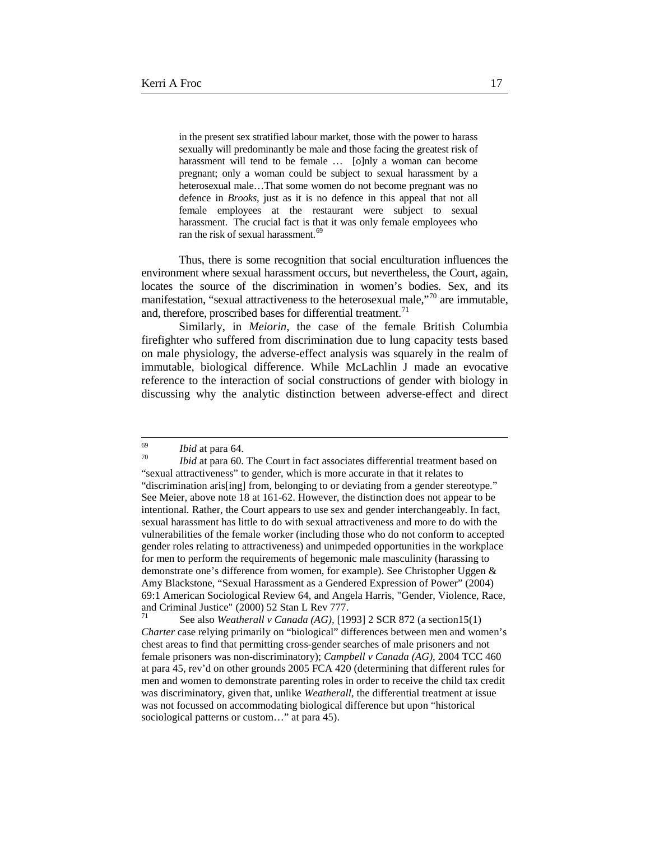in the present sex stratified labour market, those with the power to harass sexually will predominantly be male and those facing the greatest risk of harassment will tend to be female ... [o]nly a woman can become pregnant; only a woman could be subject to sexual harassment by a heterosexual male…That some women do not become pregnant was no defence in *Brooks*, just as it is no defence in this appeal that not all female employees at the restaurant were subject to sexual harassment. The crucial fact is that it was only female employees who ran the risk of sexual harassment.<sup>[69](#page-16-0)</sup>

Thus, there is some recognition that social enculturation influences the environment where sexual harassment occurs, but nevertheless, the Court, again, locates the source of the discrimination in women's bodies. Sex, and its manifestation, "sexual attractiveness to the heterosexual male,"<sup>[70](#page-16-1)</sup> are immutable. and, therefore, proscribed bases for differential treatment.<sup>71</sup>

Similarly, in *Meiorin,* the case of the female British Columbia firefighter who suffered from discrimination due to lung capacity tests based on male physiology, the adverse-effect analysis was squarely in the realm of immutable, biological difference. While McLachlin J made an evocative reference to the interaction of social constructions of gender with biology in discussing why the analytic distinction between adverse-effect and direct

<span id="page-16-1"></span><span id="page-16-0"></span><sup>69</sup> *Ibid* at para 64. <sup>70</sup> *Ibid* at para 60. The Court in fact associates differential treatment based on "sexual attractiveness" to gender, which is more accurate in that it relates to "discrimination aris[ing] from, belonging to or deviating from a gender stereotype." See Meier, above note 18 at 161-62. However, the distinction does not appear to be intentional. Rather, the Court appears to use sex and gender interchangeably. In fact, sexual harassment has little to do with sexual attractiveness and more to do with the vulnerabilities of the female worker (including those who do not conform to accepted gender roles relating to attractiveness) and unimpeded opportunities in the workplace for men to perform the requirements of hegemonic male masculinity (harassing to demonstrate one's difference from women, for example). See Christopher Uggen & Amy Blackstone, "Sexual Harassment as a Gendered Expression of Power" (2004) 69:1 American Sociological Review 64, and Angela Harris, "Gender, Violence, Race, and Criminal Justice" (2000) 52 Stan L Rev 777.<br><sup>71</sup> See also *Weatherall v Canada (AG),* [1993] 2 SCR 872 (a section15(1)

<span id="page-16-2"></span>*Charter* case relying primarily on "biological" differences between men and women's chest areas to find that permitting cross-gender searches of male prisoners and not female prisoners was non-discriminatory); *Campbell v Canada (AG)*, 2004 TCC 460 at para 45, rev'd on other grounds 2005 FCA 420 (determining that different rules for men and women to demonstrate parenting roles in order to receive the child tax credit was discriminatory, given that, unlike *Weatherall,* the differential treatment at issue was not focussed on accommodating biological difference but upon "historical sociological patterns or custom..." at para 45).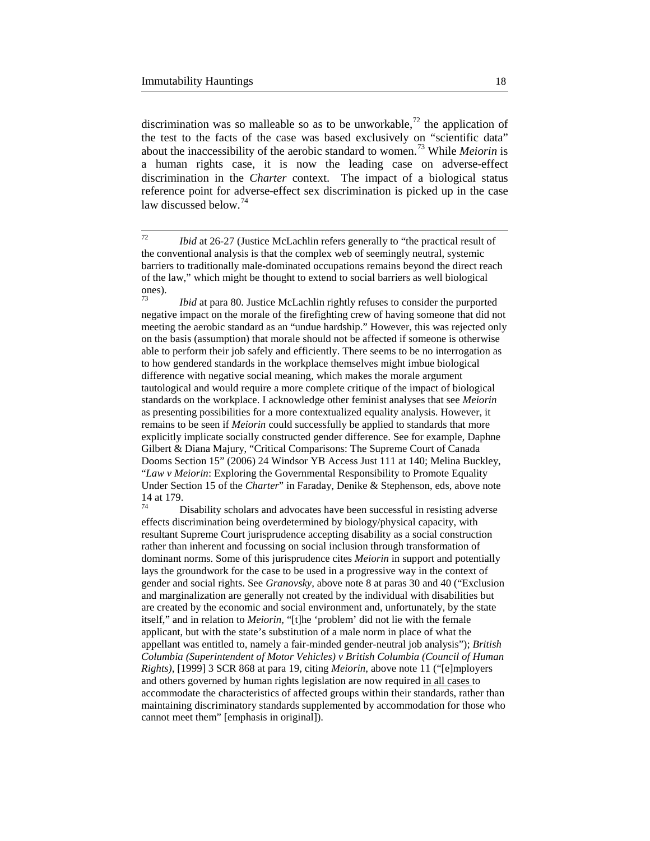discrimination was so malleable so as to be unworkable,<sup>[72](#page-17-0)</sup> the application of the test to the facts of the case was based exclusively on "scientific data" about the inaccessibility of the aerobic standard to women.[73](#page-17-1) While *Meiorin* is a human rights case, it is now the leading case on adverse-effect discrimination in the *Charter* context. The impact of a biological status reference point for adverse-effect sex discrimination is picked up in the case law discussed below.<sup>[74](#page-17-2)</sup>

<span id="page-17-1"></span>*Ibid* at para 80. Justice McLachlin rightly refuses to consider the purported negative impact on the morale of the firefighting crew of having someone that did not meeting the aerobic standard as an "undue hardship." However, this was rejected only on the basis (assumption) that morale should not be affected if someone is otherwise able to perform their job safely and efficiently. There seems to be no interrogation as to how gendered standards in the workplace themselves might imbue biological difference with negative social meaning, which makes the morale argument tautological and would require a more complete critique of the impact of biological standards on the workplace. I acknowledge other feminist analyses that see *Meiorin*  as presenting possibilities for a more contextualized equality analysis. However, it remains to be seen if *Meiorin* could successfully be applied to standards that more explicitly implicate socially constructed gender difference. See for example, Daphne Gilbert & Diana Majury, "Critical Comparisons: The Supreme Court of Canada Dooms Section 15" (2006) 24 Windsor YB Access Just 111 at 140; Melina Buckley, "*Law v Meiorin*: Exploring the Governmental Responsibility to Promote Equality Under Section 15 of the *Charter*" in Faraday, Denike & Stephenson, eds, above note

<span id="page-17-2"></span> $14$  Disability scholars and advocates have been successful in resisting adverse effects discrimination being overdetermined by biology/physical capacity, with resultant Supreme Court jurisprudence accepting disability as a social construction rather than inherent and focussing on social inclusion through transformation of dominant norms. Some of this jurisprudence cites *Meiorin* in support and potentially lays the groundwork for the case to be used in a progressive way in the context of gender and social rights. See *Granovsky,* above note 8 at paras 30 and 40 ("Exclusion and marginalization are generally not created by the individual with disabilities but are created by the economic and social environment and, unfortunately, by the state itself," and in relation to *Meiorin,* "[t]he 'problem' did not lie with the female applicant, but with the state's substitution of a male norm in place of what the appellant was entitled to, namely a fair-minded gender-neutral job analysis"); *British Columbia (Superintendent of Motor Vehicles) v British Columbia (Council of Human Rights)*, [1999] 3 SCR 868 at para 19, citing *Meiorin*, above note 11 ("[e]mployers and others governed by human rights legislation are now required in all cases to accommodate the characteristics of affected groups within their standards, rather than maintaining discriminatory standards supplemented by accommodation for those who cannot meet them" [emphasis in original]).

<span id="page-17-0"></span> <sup>72</sup> *Ibid* at 26-27 (Justice McLachlin refers generally to "the practical result of the conventional analysis is that the complex web of seemingly neutral, systemic barriers to traditionally male-dominated occupations remains beyond the direct reach of the law," which might be thought to extend to social barriers as well biological  $\frac{\text{ones}}{73}$ .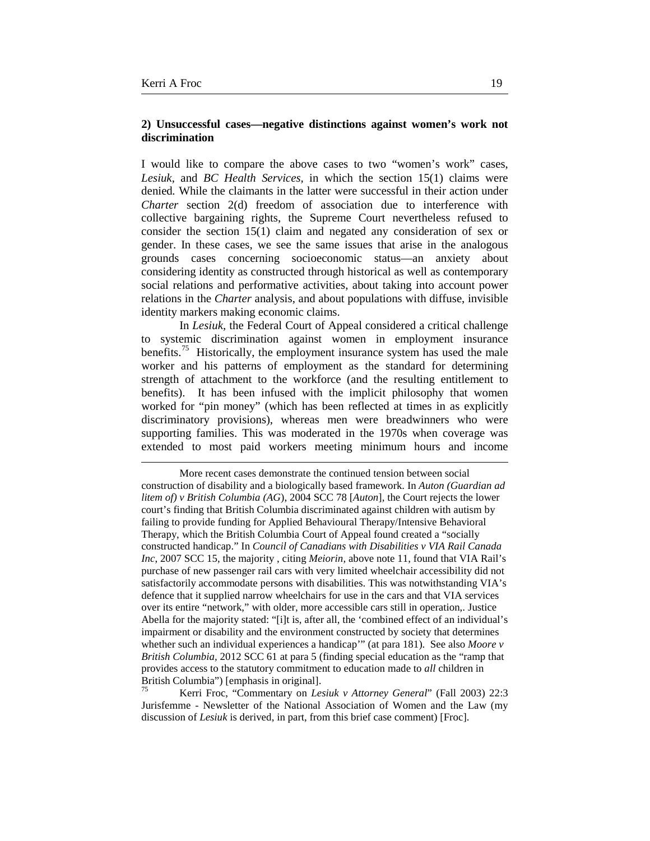$\overline{a}$ 

## **2) Unsuccessful cases—negative distinctions against women's work not discrimination**

I would like to compare the above cases to two "women's work" cases, *Lesiuk,* and *BC Health Services,* in which the section 15(1) claims were denied*.* While the claimants in the latter were successful in their action under *Charter* section 2(d) freedom of association due to interference with collective bargaining rights, the Supreme Court nevertheless refused to consider the section 15(1) claim and negated any consideration of sex or gender. In these cases, we see the same issues that arise in the analogous grounds cases concerning socioeconomic status—an anxiety about considering identity as constructed through historical as well as contemporary social relations and performative activities, about taking into account power relations in the *Charter* analysis, and about populations with diffuse, invisible identity markers making economic claims.

In *Lesiuk,* the Federal Court of Appeal considered a critical challenge to systemic discrimination against women in employment insurance benefits.<sup>[75](#page-18-0)</sup> Historically, the employment insurance system has used the male worker and his patterns of employment as the standard for determining strength of attachment to the workforce (and the resulting entitlement to benefits). It has been infused with the implicit philosophy that women worked for "pin money" (which has been reflected at times in as explicitly discriminatory provisions), whereas men were breadwinners who were supporting families. This was moderated in the 1970s when coverage was extended to most paid workers meeting minimum hours and income

<span id="page-18-0"></span><sup>75</sup> Kerri Froc, "Commentary on *Lesiuk v Attorney General*" (Fall 2003) 22:3 Jurisfemme - Newsletter of the National Association of Women and the Law (my discussion of *Lesiuk* is derived, in part, from this brief case comment) [Froc].

More recent cases demonstrate the continued tension between social construction of disability and a biologically based framework. In *Auton (Guardian ad litem of) v British Columbia (AG*), 2004 SCC 78 [*Auton*], the Court rejects the lower court's finding that British Columbia discriminated against children with autism by failing to provide funding for Applied Behavioural Therapy/Intensive Behavioral Therapy, which the British Columbia Court of Appeal found created a "socially constructed handicap." In *Council of Canadians with Disabilities v VIA Rail Canada Inc*, 2007 SCC 15, the majority , citing *Meiorin,* above note 11, found that VIA Rail's purchase of new passenger rail cars with very limited wheelchair accessibility did not satisfactorily accommodate persons with disabilities. This was notwithstanding VIA's defence that it supplied narrow wheelchairs for use in the cars and that VIA services over its entire "network," with older, more accessible cars still in operation,. Justice Abella for the majority stated: "[i]t is, after all, the 'combined effect of an individual's impairment or disability and the environment constructed by society that determines whether such an individual experiences a handicap'" (at para 181). See also *Moore v British Columbia,* 2012 SCC 61 at para 5 (finding special education as the "ramp that provides access to the statutory commitment to education made to *all* children in British Columbia") [emphasis in original].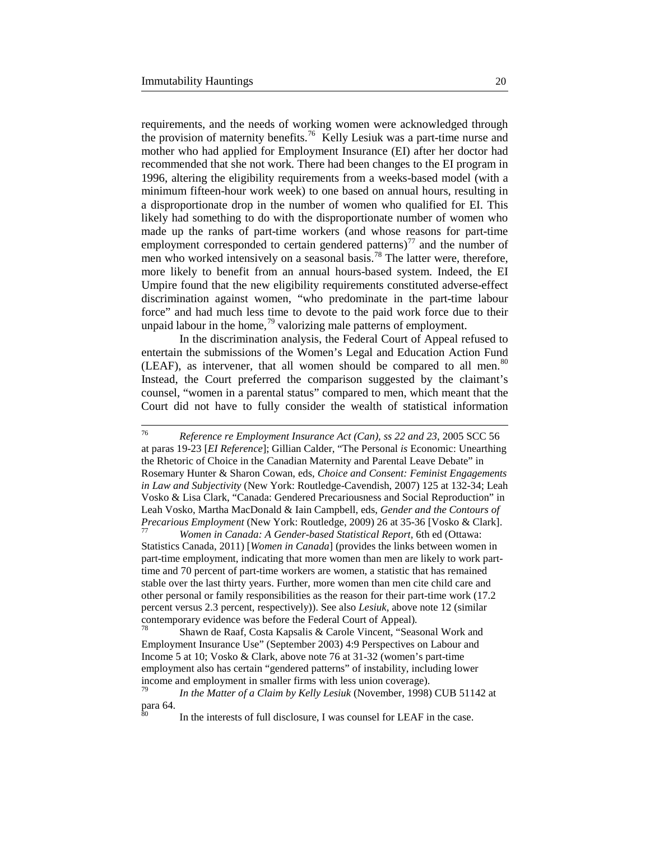requirements, and the needs of working women were acknowledged through the provision of maternity benefits.[76](#page-19-0) Kelly Lesiuk was a part-time nurse and mother who had applied for Employment Insurance (EI) after her doctor had recommended that she not work. There had been changes to the EI program in 1996, altering the eligibility requirements from a weeks-based model (with a minimum fifteen-hour work week) to one based on annual hours, resulting in a disproportionate drop in the number of women who qualified for EI. This likely had something to do with the disproportionate number of women who made up the ranks of part-time workers (and whose reasons for part-time employment corresponded to certain gendered patterns)<sup>[77](#page-19-1)</sup> and the number of men who worked intensively on a seasonal basis.<sup>[78](#page-19-2)</sup> The latter were, therefore, more likely to benefit from an annual hours-based system. Indeed, the EI Umpire found that the new eligibility requirements constituted adverse-effect discrimination against women, "who predominate in the part-time labour force" and had much less time to devote to the paid work force due to their unpaid labour in the home,  $\frac{79}{9}$  $\frac{79}{9}$  $\frac{79}{9}$  valorizing male patterns of employment.

In the discrimination analysis, the Federal Court of Appeal refused to entertain the submissions of the Women's Legal and Education Action Fund (LEAF), as intervener, that all women should be compared to all men.<sup>[80](#page-19-4)</sup> Instead, the Court preferred the comparison suggested by the claimant's counsel, "women in a parental status" compared to men, which meant that the Court did not have to fully consider the wealth of statistical information

<span id="page-19-1"></span>Statistics Canada, 2011) [*Women in Canada*] (provides the links between women in part-time employment, indicating that more women than men are likely to work parttime and 70 percent of part-time workers are women, a statistic that has remained stable over the last thirty years. Further, more women than men cite child care and other personal or family responsibilities as the reason for their part-time work (17.2 percent versus 2.3 percent, respectively)). See also *Lesiuk,* above note 12 (similar contemporary evidence was before the Federal Court of Appeal).<br><sup>78</sup> Shawn de Raaf, Costa Kapsalis & Carole Vincent, "Seasonal Work and

<span id="page-19-2"></span>Employment Insurance Use" (September 2003) 4:9 Perspectives on Labour and Income 5 at 10; Vosko & Clark, above note 76 at 31-32 (women's part-time employment also has certain "gendered patterns" of instability, including lower income and employment in smaller firms with less union coverage).

<span id="page-19-0"></span> <sup>76</sup> *Reference re Employment Insurance Act (Can), ss 22 and 23*, 2005 SCC 56 at paras 19-23 [*EI Reference*]; Gillian Calder, "The Personal *is* Economic: Unearthing the Rhetoric of Choice in the Canadian Maternity and Parental Leave Debate" in Rosemary Hunter & Sharon Cowan, eds, *Choice and Consent: Feminist Engagements in Law and Subjectivity* (New York: Routledge-Cavendish, 2007) 125 at 132-34; Leah Vosko & Lisa Clark, "Canada: Gendered Precariousness and Social Reproduction" in Leah Vosko, Martha MacDonald & Iain Campbell, eds, *Gender and the Contours of Precarious Employment* (New York: Routledge, 2009) 26 at 35-36 [Vosko & Clark].<br><sup>77</sup> *Women in Canada: A Gender-based Statistical Report,* 6th ed (Ottawa:

<span id="page-19-4"></span><span id="page-19-3"></span><sup>79</sup> *In the Matter of a Claim by Kelly Lesiuk* (November, 1998) CUB 51142 at para 64.

In the interests of full disclosure, I was counsel for LEAF in the case.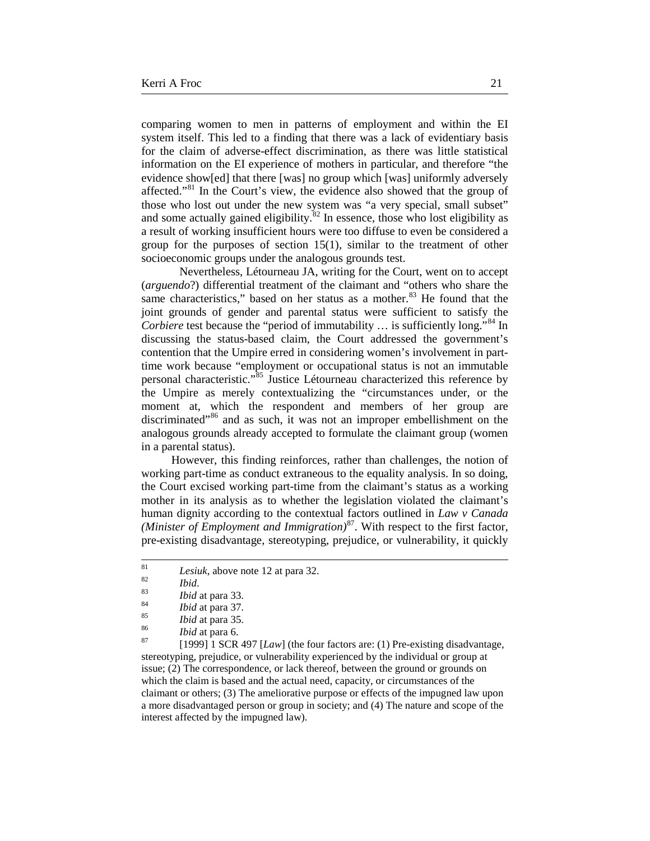comparing women to men in patterns of employment and within the EI system itself. This led to a finding that there was a lack of evidentiary basis for the claim of adverse-effect discrimination, as there was little statistical information on the EI experience of mothers in particular, and therefore "the evidence show[ed] that there [was] no group which [was] uniformly adversely affected."<sup>[81](#page-20-0)</sup> In the Court's view, the evidence also showed that the group of those who lost out under the new system was "a very special, small subset" and some actually gained eligibility. ${}^{82}$  ${}^{82}$  ${}^{82}$  In essence, those who lost eligibility as a result of working insufficient hours were too diffuse to even be considered a group for the purposes of section 15(1), similar to the treatment of other socioeconomic groups under the analogous grounds test.

Nevertheless, Létourneau JA, writing for the Court, went on to accept (*arguendo*?) differential treatment of the claimant and "others who share the same characteristics," based on her status as a mother. $83$  He found that the joint grounds of gender and parental status were sufficient to satisfy the *Corbiere* test because the "period of immutability ... is sufficiently long."<sup>[84](#page-20-3)</sup> In discussing the status-based claim, the Court addressed the government's contention that the Umpire erred in considering women's involvement in parttime work because "employment or occupational status is not an immutable personal characteristic."[85](#page-20-4) Justice Létourneau characterized this reference by the Umpire as merely contextualizing the "circumstances under, or the moment at, which the respondent and members of her group are discriminated"<sup>[86](#page-20-5)</sup> and as such, it was not an improper embellishment on the analogous grounds already accepted to formulate the claimant group (women in a parental status).

However, this finding reinforces, rather than challenges, the notion of working part-time as conduct extraneous to the equality analysis. In so doing, the Court excised working part-time from the claimant's status as a working mother in its analysis as to whether the legislation violated the claimant's human dignity according to the contextual factors outlined in *Law v Canada (Minister of Employment and Immigration)*[87.](#page-20-6) With respect to the first factor, pre-existing disadvantage, stereotyping, prejudice, or vulnerability, it quickly

<span id="page-20-0"></span><sup>81</sup><br>
<sup>82</sup><br>
<sup>82</sup><br> *Bid.*<br> *Bidat* para 33.<br> *Bidat* para 37.<br> *Bidat* para 37.<br> *Bidat* para 35.<br> *Bidat* para 45.<br> *Bidat* para 45.<br> *Bidat* para 6.<br> *Bigate 1999* 1 SCR 497 [*Law*] (the four factors are: (1) Pre-existin stereotyping, prejudice, or vulnerability experienced by the individual or group at issue; (2) The correspondence, or lack thereof, between the ground or grounds on which the claim is based and the actual need, capacity, or circumstances of the claimant or others; (3) The ameliorative purpose or effects of the impugned law upon a more disadvantaged person or group in society; and (4) The nature and scope of the interest affected by the impugned law).

<span id="page-20-3"></span><span id="page-20-2"></span><span id="page-20-1"></span>

<span id="page-20-5"></span><span id="page-20-4"></span>

<span id="page-20-6"></span>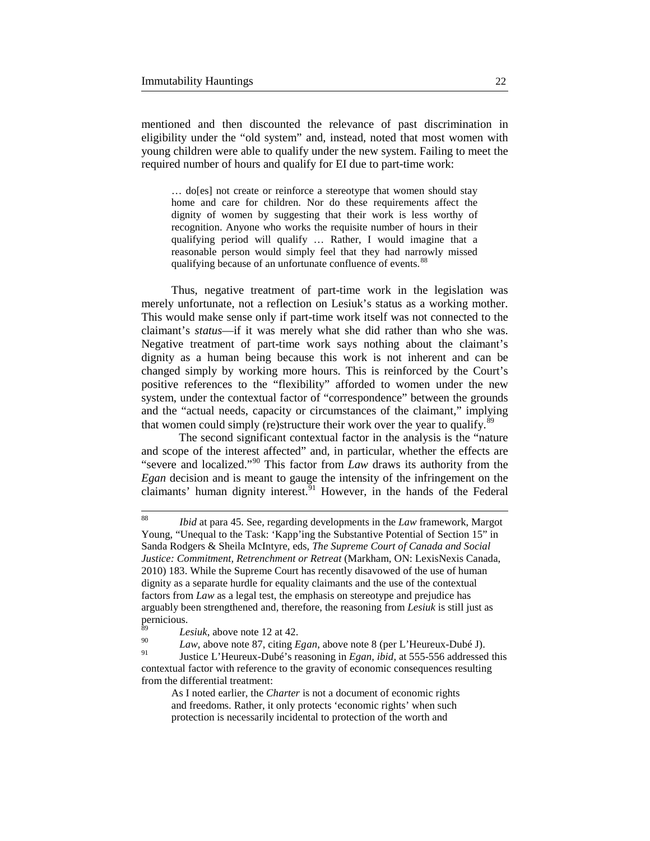mentioned and then discounted the relevance of past discrimination in eligibility under the "old system" and, instead, noted that most women with young children were able to qualify under the new system. Failing to meet the required number of hours and qualify for EI due to part-time work:

… do[es] not create or reinforce a stereotype that women should stay home and care for children. Nor do these requirements affect the dignity of women by suggesting that their work is less worthy of recognition. Anyone who works the requisite number of hours in their qualifying period will qualify … Rather, I would imagine that a reasonable person would simply feel that they had narrowly missed qualifying because of an unfortunate confluence of events.<sup>[88](#page-21-0)</sup>

Thus, negative treatment of part-time work in the legislation was merely unfortunate, not a reflection on Lesiuk's status as a working mother. This would make sense only if part-time work itself was not connected to the claimant's *status*—if it was merely what she did rather than who she was. Negative treatment of part-time work says nothing about the claimant's dignity as a human being because this work is not inherent and can be changed simply by working more hours. This is reinforced by the Court's positive references to the "flexibility" afforded to women under the new system, under the contextual factor of "correspondence" between the grounds and the "actual needs, capacity or circumstances of the claimant," implying that women could simply (re)structure their work over the year to qualify.<sup>[89](#page-21-1)</sup>

The second significant contextual factor in the analysis is the "nature and scope of the interest affected" and, in particular, whether the effects are "severe and localized."[90](#page-21-2) This factor from *Law* draws its authority from the *Egan* decision and is meant to gauge the intensity of the infringement on the claimants' human dignity interest. $91$  However, in the hands of the Federal

<span id="page-21-0"></span> <sup>88</sup> *Ibid* at para 45. See*,* regarding developments in the *Law* framework, Margot Young, "Unequal to the Task: 'Kapp'ing the Substantive Potential of Section 15" in Sanda Rodgers & Sheila McIntyre, eds, *The Supreme Court of Canada and Social Justice: Commitment, Retrenchment or Retreat* (Markham, ON: LexisNexis Canada, 2010) 183. While the Supreme Court has recently disavowed of the use of human dignity as a separate hurdle for equality claimants and the use of the contextual factors from *Law* as a legal test, the emphasis on stereotype and prejudice has arguably been strengthened and, therefore, the reasoning from *Lesiuk* is still just as pernicious.

<span id="page-21-1"></span> $\frac{89}{90}$  *Lesiuk*, above note 12 at 42.

<span id="page-21-2"></span><sup>&</sup>lt;sup>90</sup> *Law*, above note 87, citing *Egan*, above note 8 (per L'Heureux-Dubé J).<br><sup>91</sup> Justice L'Heureux-Dubé's reasoning in *Egan, ibid*, at 555-556 addressed this

<span id="page-21-3"></span>contextual factor with reference to the gravity of economic consequences resulting from the differential treatment:

As I noted earlier, the *Charter* is not a document of economic rights and freedoms. Rather, it only protects 'economic rights' when such protection is necessarily incidental to protection of the worth and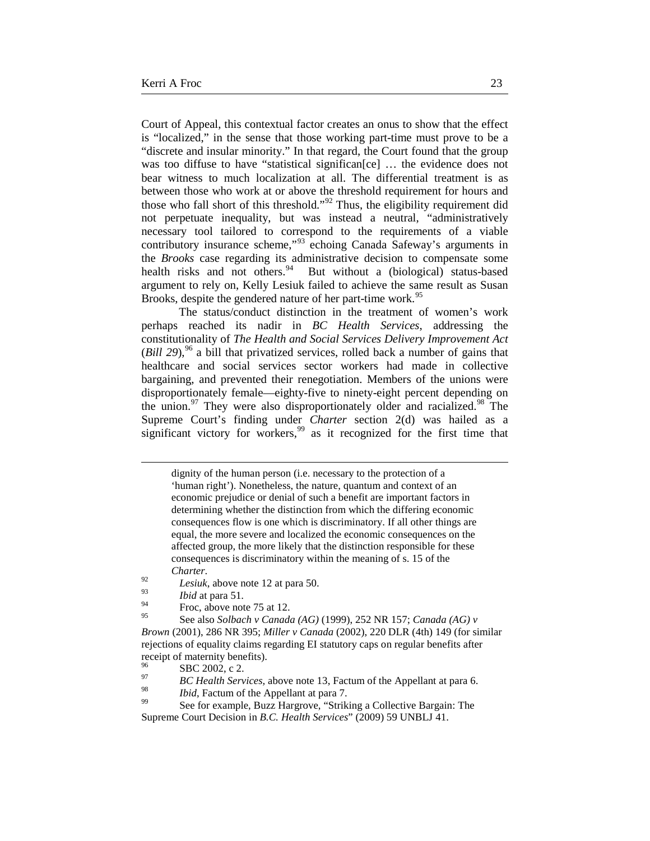Court of Appeal, this contextual factor creates an onus to show that the effect is "localized," in the sense that those working part-time must prove to be a "discrete and insular minority." In that regard, the Court found that the group was too diffuse to have "statistical significan [ce] ... the evidence does not bear witness to much localization at all. The differential treatment is as between those who work at or above the threshold requirement for hours and those who fall short of this threshold."<sup>[92](#page-22-0)</sup> Thus, the eligibility requirement did not perpetuate inequality, but was instead a neutral, "administratively necessary tool tailored to correspond to the requirements of a viable contributory insurance scheme,"[93](#page-22-1) echoing Canada Safeway's arguments in the *Brooks* case regarding its administrative decision to compensate some health risks and not others.<sup>[94](#page-22-2)</sup> But without a (biological) status-based argument to rely on, Kelly Lesiuk failed to achieve the same result as Susan Brooks, despite the gendered nature of her part-time work.<sup>[95](#page-22-3)</sup>

The status/conduct distinction in the treatment of women's work perhaps reached its nadir in *BC Health Services*, addressing the constitutionality of *The Health and Social Services Delivery Improvement Act* (*Bill 29*),  $96$  a bill that privatized services, rolled back a number of gains that healthcare and social services sector workers had made in collective bargaining, and prevented their renegotiation. Members of the unions were disproportionately female—eighty-five to ninety-eight percent depending on the union. $97$  They were also disproportionately older and racialized. $98$  The Supreme Court's finding under *Charter* section 2(d) was hailed as a significant victory for workers,<sup>[99](#page-22-7)</sup> as it recognized for the first time that

 $\overline{a}$ 

dignity of the human person (i.e. necessary to the protection of a 'human right'). Nonetheless, the nature, quantum and context of an economic prejudice or denial of such a benefit are important factors in determining whether the distinction from which the differing economic consequences flow is one which is discriminatory. If all other things are equal, the more severe and localized the economic consequences on the affected group, the more likely that the distinction responsible for these consequences is discriminatory within the meaning of s. 15 of the

*P*<sub>2</sub> *Charter*.<br>*Lesiuk*, above note 12 at para 50.

<span id="page-22-0"></span> $\frac{93}{94}$  *Ibid* at para 51.

 $^{94}$  Froc, above note 75 at 12.

<span id="page-22-3"></span><span id="page-22-2"></span><span id="page-22-1"></span><sup>95</sup> See also *Solbach v Canada (AG)* (1999), 252 NR 157; *Canada (AG) v Brown* (2001), 286 NR 395; *Miller v Canada* (2002), 220 DLR (4th) 149 (for similar rejections of equality claims regarding EI statutory caps on regular benefits after receipt of maternity benefits).

<span id="page-22-4"></span>

<sup>96</sup> SBC 2002, c 2.<br> *BC Health Services*, above note 13, Factum of the Appellant at para 6.

<span id="page-22-7"></span><span id="page-22-6"></span><span id="page-22-5"></span><sup>&</sup>lt;sup>98</sup> *Ibid*, Factum of the Appellant at para 7.<br><sup>99</sup> See for example, Buzz Hargrove, "Striking a Collective Bargain: The Supreme Court Decision in *B.C. Health Services*" (2009) 59 UNBLJ 41.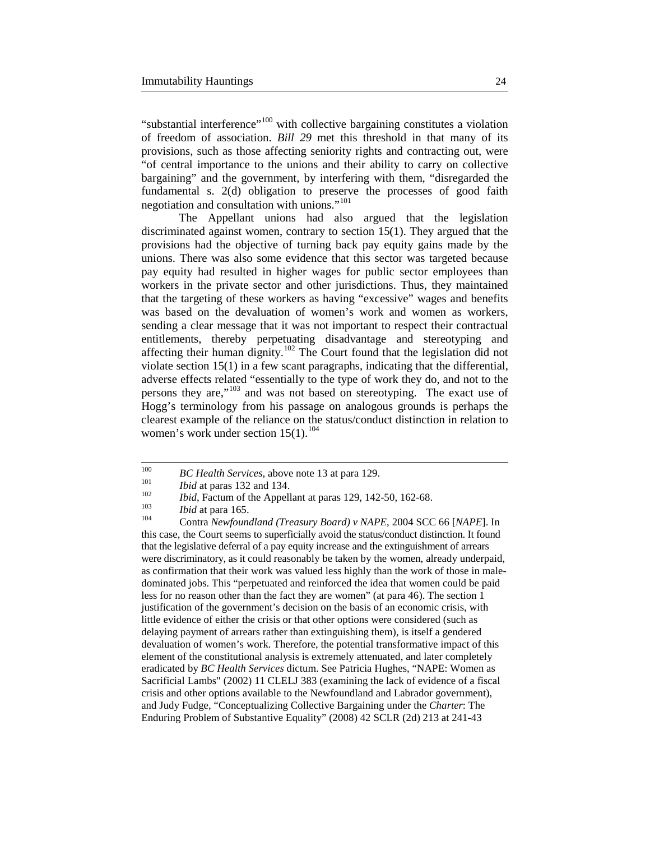"substantial interference"<sup>[100](#page-23-0)</sup> with collective bargaining constitutes a violation of freedom of association. *Bill 29* met this threshold in that many of its provisions, such as those affecting seniority rights and contracting out, were "of central importance to the unions and their ability to carry on collective bargaining" and the government, by interfering with them, "disregarded the fundamental s. 2(d) obligation to preserve the processes of good faith negotiation and consultation with unions."[101](#page-23-1)

The Appellant unions had also argued that the legislation discriminated against women, contrary to section 15(1). They argued that the provisions had the objective of turning back pay equity gains made by the unions. There was also some evidence that this sector was targeted because pay equity had resulted in higher wages for public sector employees than workers in the private sector and other jurisdictions. Thus, they maintained that the targeting of these workers as having "excessive" wages and benefits was based on the devaluation of women's work and women as workers, sending a clear message that it was not important to respect their contractual entitlements, thereby perpetuating disadvantage and stereotyping and affecting their human dignity.[102](#page-23-2) The Court found that the legislation did not violate section 15(1) in a few scant paragraphs, indicating that the differential, adverse effects related "essentially to the type of work they do, and not to the persons they are,"[103](#page-23-3) and was not based on stereotyping. The exact use of Hogg's terminology from his passage on analogous grounds is perhaps the clearest example of the reliance on the status/conduct distinction in relation to women's work under section  $15(1).^{104}$  $15(1).^{104}$  $15(1).^{104}$ 

<span id="page-23-1"></span><span id="page-23-0"></span><sup>&</sup>lt;sup>100</sup> *BC Health Services*, above note 13 at para 129.<br>
<sup>101</sup> *Ibid* at paras 132 and 134.<br> *Ibid*, Factum of the Appellant at paras 129, 142-50, 162-68.<br> *Ibid* at para 165.<br>
Contra *Newfoundland (Treasury Board) v NAPE* 

<span id="page-23-3"></span><span id="page-23-2"></span>

<span id="page-23-4"></span>this case, the Court seems to superficially avoid the status/conduct distinction. It found that the legislative deferral of a pay equity increase and the extinguishment of arrears were discriminatory, as it could reasonably be taken by the women, already underpaid, as confirmation that their work was valued less highly than the work of those in maledominated jobs. This "perpetuated and reinforced the idea that women could be paid less for no reason other than the fact they are women" (at para 46). The section 1 justification of the government's decision on the basis of an economic crisis, with little evidence of either the crisis or that other options were considered (such as delaying payment of arrears rather than extinguishing them), is itself a gendered devaluation of women's work. Therefore, the potential transformative impact of this element of the constitutional analysis is extremely attenuated, and later completely eradicated by *BC Health Services* dictum. See Patricia Hughes, "NAPE: Women as Sacrificial Lambs" (2002) 11 CLELJ 383 (examining the lack of evidence of a fiscal crisis and other options available to the Newfoundland and Labrador government), and Judy Fudge, "Conceptualizing Collective Bargaining under the *Charter*: The Enduring Problem of Substantive Equality" (2008) 42 SCLR (2d) 213 at 241-43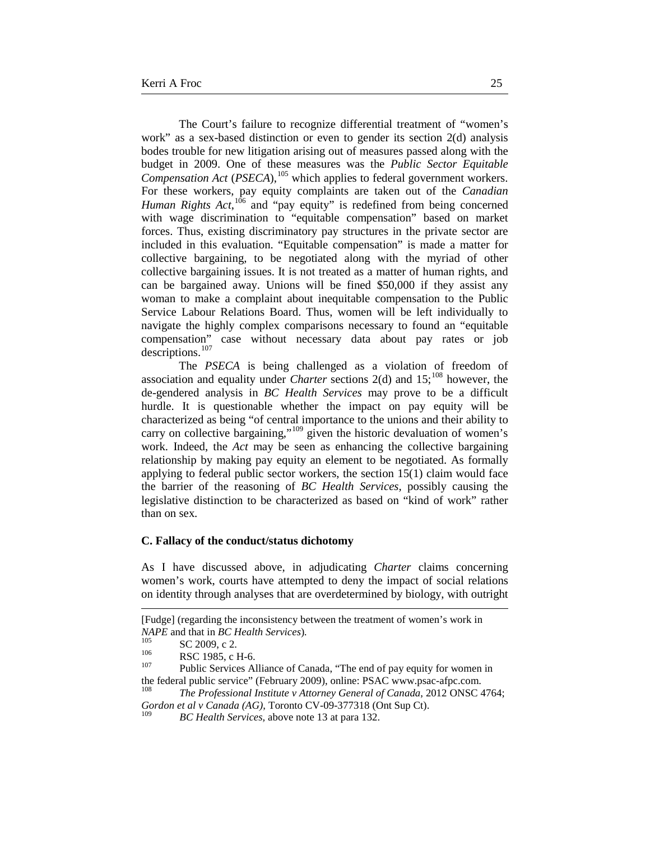The Court's failure to recognize differential treatment of "women's work" as a sex-based distinction or even to gender its section 2(d) analysis bodes trouble for new litigation arising out of measures passed along with the budget in 2009. One of these measures was the *Public Sector Equitable Compensation Act* (*PSECA*), [105](#page-24-0) which applies to federal government workers. For these workers, pay equity complaints are taken out of the *Canadian Human Rights Act*,<sup>[106](#page-24-1)</sup> and "pay equity" is redefined from being concerned with wage discrimination to "equitable compensation" based on market forces. Thus, existing discriminatory pay structures in the private sector are included in this evaluation. "Equitable compensation" is made a matter for collective bargaining, to be negotiated along with the myriad of other collective bargaining issues. It is not treated as a matter of human rights, and can be bargained away. Unions will be fined \$50,000 if they assist any woman to make a complaint about inequitable compensation to the Public Service Labour Relations Board. Thus, women will be left individually to navigate the highly complex comparisons necessary to found an "equitable compensation" case without necessary data about pay rates or job descriptions.<sup>[107](#page-24-2)</sup>

The *PSECA* is being challenged as a violation of freedom of association and equality under *Charter* sections 2(d) and 15; [108](#page-24-3) however, the de-gendered analysis in *BC Health Services* may prove to be a difficult hurdle. It is questionable whether the impact on pay equity will be characterized as being "of central importance to the unions and their ability to carry on collective bargaining,"<sup>[109](#page-24-4)</sup> given the historic devaluation of women's work. Indeed, the *Act* may be seen as enhancing the collective bargaining relationship by making pay equity an element to be negotiated. As formally applying to federal public sector workers, the section 15(1) claim would face the barrier of the reasoning of *BC Health Services,* possibly causing the legislative distinction to be characterized as based on "kind of work" rather than on sex.

#### **C. Fallacy of the conduct/status dichotomy**

As I have discussed above, in adjudicating *Charter* claims concerning women's work, courts have attempted to deny the impact of social relations on identity through analyses that are overdetermined by biology, with outright

 $\overline{a}$ 

<sup>[</sup>Fudge] (regarding the inconsistency between the treatment of women's work in *NAPE* and that in *BC Health Services*).<br>
<sup>105</sup> SC 2009, c 2.<br>
RSC 1985, c H-6.<br>
<sup>107</sup> Public Services Alliance of Canada, "The end of pay equity for women in

<span id="page-24-2"></span><span id="page-24-1"></span><span id="page-24-0"></span>the federal public service" (February 2009), online: PSAC www.psac-afpc.com. <sup>108</sup> *The Professional Institute v Attorney General of Canada*, 2012 ONSC 4764;

<span id="page-24-4"></span><span id="page-24-3"></span>*Gordon et al v Canada (AG)*, Toronto CV-09-377318 (Ont Sup Ct). <sup>109</sup> *BC Health Services,* above note 13 at para 132.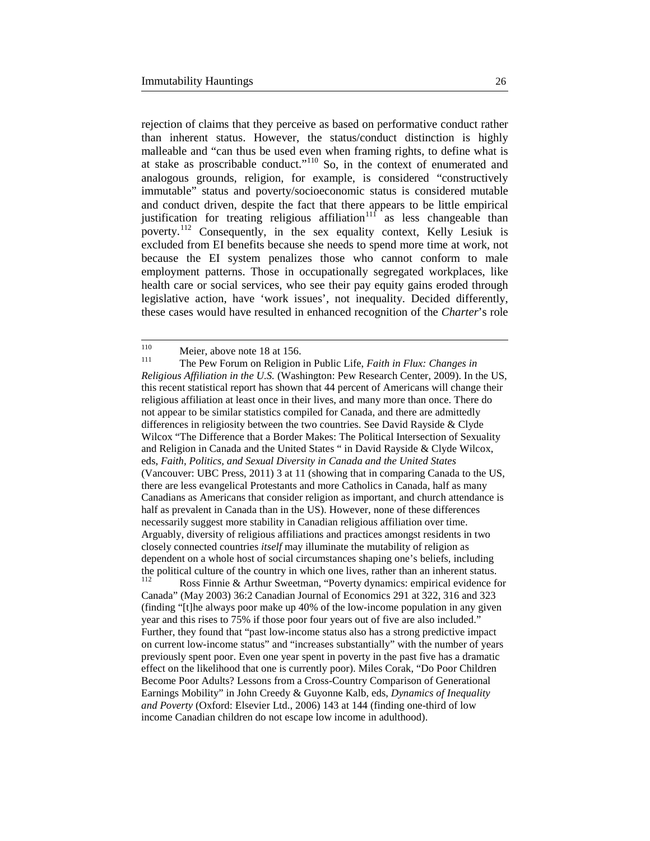rejection of claims that they perceive as based on performative conduct rather than inherent status. However, the status/conduct distinction is highly malleable and "can thus be used even when framing rights, to define what is at stake as proscribable conduct."<sup>[110](#page-25-0)</sup> So, in the context of enumerated and analogous grounds, religion, for example, is considered "constructively immutable" status and poverty/socioeconomic status is considered mutable and conduct driven, despite the fact that there appears to be little empirical justification for treating religious affiliation<sup>[111](#page-25-1)</sup> as less changeable than poverty.[112](#page-25-2) Consequently, in the sex equality context, Kelly Lesiuk is excluded from EI benefits because she needs to spend more time at work, not because the EI system penalizes those who cannot conform to male employment patterns. Those in occupationally segregated workplaces, like health care or social services, who see their pay equity gains eroded through legislative action, have 'work issues', not inequality. Decided differently, these cases would have resulted in enhanced recognition of the *Charter*'s role

<span id="page-25-1"></span><span id="page-25-0"></span><sup>110</sup> Meier, above note 18 at 156.<br><sup>111</sup> The Pew Forum on Religion in Public Life, *Faith in Flux: Changes in Religious Affiliation in the U.S.* (Washington: Pew Research Center, 2009). In the US, this recent statistical report has shown that 44 percent of Americans will change their religious affiliation at least once in their lives, and many more than once. There do not appear to be similar statistics compiled for Canada, and there are admittedly differences in religiosity between the two countries. See David Rayside & Clyde Wilcox "The Difference that a Border Makes: The Political Intersection of Sexuality and Religion in Canada and the United States " in David Rayside & Clyde Wilcox, eds, *Faith, Politics, and Sexual Diversity in Canada and the United States* (Vancouver: UBC Press, 2011) 3 at 11 (showing that in comparing Canada to the US, there are less evangelical Protestants and more Catholics in Canada, half as many Canadians as Americans that consider religion as important, and church attendance is half as prevalent in Canada than in the US). However, none of these differences necessarily suggest more stability in Canadian religious affiliation over time. Arguably, diversity of religious affiliations and practices amongst residents in two closely connected countries *itself* may illuminate the mutability of religion as dependent on a whole host of social circumstances shaping one's beliefs, including the political culture of the country in which one lives, rather than an inherent status.<br> $\frac{112}{112}$  Boss Finnia & Arthur Susattmen, "Boyarty dynamics: empirical sydence for Ross Finnie & Arthur Sweetman, "Poverty dynamics: empirical evidence for Canada" (May 2003) 36:2 Canadian Journal of Economics 291 at 322, 316 and 323 (finding "[t]he always poor make up 40% of the low-income population in any given year and this rises to 75% if those poor four years out of five are also included." Further, they found that "past low-income status also has a strong predictive impact on current low-income status" and "increases substantially" with the number of years

<span id="page-25-2"></span>previously spent poor. Even one year spent in poverty in the past five has a dramatic effect on the likelihood that one is currently poor). Miles Corak, "Do Poor Children Become Poor Adults? Lessons from a Cross-Country Comparison of Generational Earnings Mobility" in John Creedy & Guyonne Kalb, eds, *Dynamics of Inequality and Poverty* (Oxford: Elsevier Ltd., 2006) 143 at 144 (finding one-third of low income Canadian children do not escape low income in adulthood).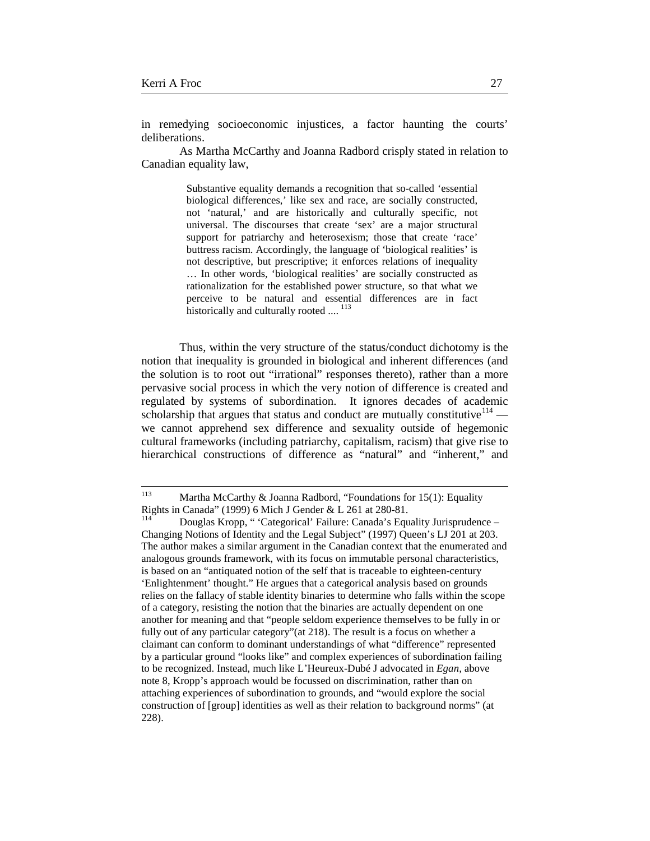in remedying socioeconomic injustices, a factor haunting the courts' deliberations.

As Martha McCarthy and Joanna Radbord crisply stated in relation to Canadian equality law,

> Substantive equality demands a recognition that so-called 'essential biological differences,' like sex and race, are socially constructed, not 'natural,' and are historically and culturally specific, not universal. The discourses that create 'sex' are a major structural support for patriarchy and heterosexism; those that create 'race' buttress racism. Accordingly, the language of 'biological realities' is not descriptive, but prescriptive; it enforces relations of inequality … In other words, 'biological realities' are socially constructed as rationalization for the established power structure, so that what we perceive to be natural and essential differences are in fact historically and culturally rooted ....<sup>[113](#page-26-0)</sup>

Thus, within the very structure of the status/conduct dichotomy is the notion that inequality is grounded in biological and inherent differences (and the solution is to root out "irrational" responses thereto), rather than a more pervasive social process in which the very notion of difference is created and regulated by systems of subordination. It ignores decades of academic scholarship that argues that status and conduct are mutually constitutive  $114$  we cannot apprehend sex difference and sexuality outside of hegemonic cultural frameworks (including patriarchy, capitalism, racism) that give rise to hierarchical constructions of difference as "natural" and "inherent," and

<span id="page-26-0"></span> <sup>113</sup> Martha McCarthy & Joanna Radbord, "Foundations for 15(1): Equality Rights in Canada" (1999) 6 Mich J Gender & L 261 at 280-81.<br><sup>114</sup> Douglas Kropp, "Categorical' Failure: Canada's Equality Jurisprudence –

<span id="page-26-1"></span>Changing Notions of Identity and the Legal Subject" (1997) Queen's LJ 201 at 203. The author makes a similar argument in the Canadian context that the enumerated and analogous grounds framework, with its focus on immutable personal characteristics, is based on an "antiquated notion of the self that is traceable to eighteen-century 'Enlightenment' thought." He argues that a categorical analysis based on grounds relies on the fallacy of stable identity binaries to determine who falls within the scope of a category, resisting the notion that the binaries are actually dependent on one another for meaning and that "people seldom experience themselves to be fully in or fully out of any particular category"(at 218). The result is a focus on whether a claimant can conform to dominant understandings of what "difference" represented by a particular ground "looks like" and complex experiences of subordination failing to be recognized. Instead, much like L'Heureux-Dubé J advocated in *Egan,* above note 8, Kropp's approach would be focussed on discrimination, rather than on attaching experiences of subordination to grounds, and "would explore the social construction of [group] identities as well as their relation to background norms" (at 228).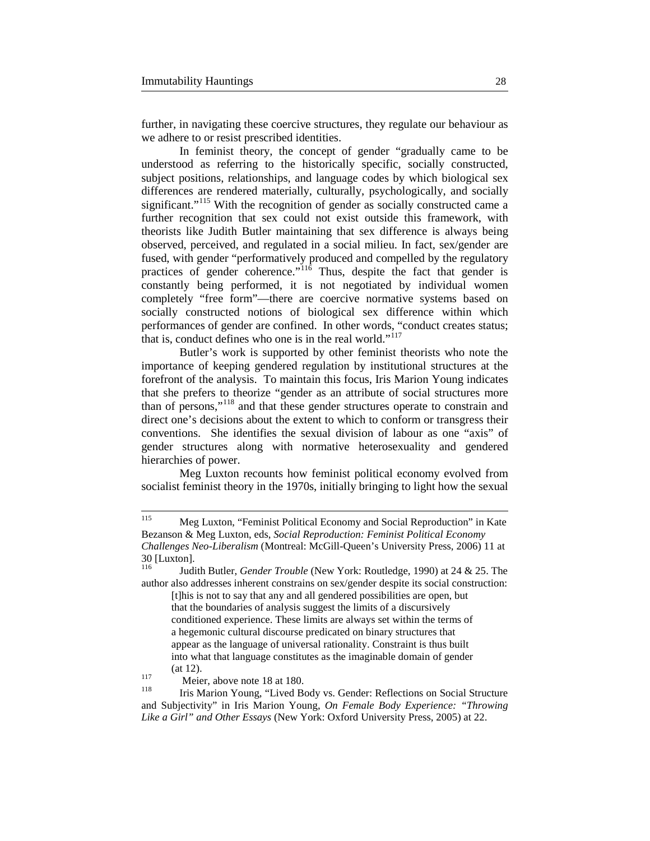further, in navigating these coercive structures, they regulate our behaviour as we adhere to or resist prescribed identities.

In feminist theory, the concept of gender "gradually came to be understood as referring to the historically specific, socially constructed, subject positions, relationships, and language codes by which biological sex differences are rendered materially, culturally, psychologically, and socially significant."<sup>[115](#page-27-0)</sup> With the recognition of gender as socially constructed came a further recognition that sex could not exist outside this framework, with theorists like Judith Butler maintaining that sex difference is always being observed, perceived, and regulated in a social milieu. In fact, sex/gender are fused, with gender "performatively produced and compelled by the regulatory practices of gender coherence."<sup>[116](#page-27-1)</sup> Thus, despite the fact that gender is constantly being performed, it is not negotiated by individual women completely "free form"—there are coercive normative systems based on socially constructed notions of biological sex difference within which performances of gender are confined. In other words, "conduct creates status; that is, conduct defines who one is in the real world."<sup>[117](#page-27-2)</sup>

Butler's work is supported by other feminist theorists who note the importance of keeping gendered regulation by institutional structures at the forefront of the analysis. To maintain this focus, Iris Marion Young indicates that she prefers to theorize "gender as an attribute of social structures more than of persons,"[118](#page-27-3) and that these gender structures operate to constrain and direct one's decisions about the extent to which to conform or transgress their conventions. She identifies the sexual division of labour as one "axis" of gender structures along with normative heterosexuality and gendered hierarchies of power.

Meg Luxton recounts how feminist political economy evolved from socialist feminist theory in the 1970s, initially bringing to light how the sexual

<span id="page-27-0"></span> <sup>115</sup> Meg Luxton, "Feminist Political Economy and Social Reproduction" in Kate Bezanson & Meg Luxton, eds, *Social Reproduction: Feminist Political Economy Challenges Neo-Liberalism* (Montreal: McGill-Queen's University Press, 2006) 11 at 30 [Luxton].<br>
<sup>116</sup> Luxton<sup>16</sup> Luxton *Luxton Candar Travible* (Navy Yark: Baydete 1000) at 24.8.25 The

<span id="page-27-1"></span>Judith Butler, *Gender Trouble* (New York: Routledge, 1990) at 24 & 25. The author also addresses inherent constrains on sex/gender despite its social construction: [t]his is not to say that any and all gendered possibilities are open, but that the boundaries of analysis suggest the limits of a discursively conditioned experience. These limits are always set within the terms of a hegemonic cultural discourse predicated on binary structures that appear as the language of universal rationality. Constraint is thus built into what that language constitutes as the imaginable domain of gender (at 12).<br>117 Meier, above note 18 at 180.<br>118 Iris Marion Young, "Lived Body vs. Gender: Reflections on Social Structure

<span id="page-27-2"></span>

<span id="page-27-3"></span>and Subjectivity" in Iris Marion Young, *On Female Body Experience: "Throwing Like a Girl" and Other Essays* (New York: Oxford University Press, 2005) at 22.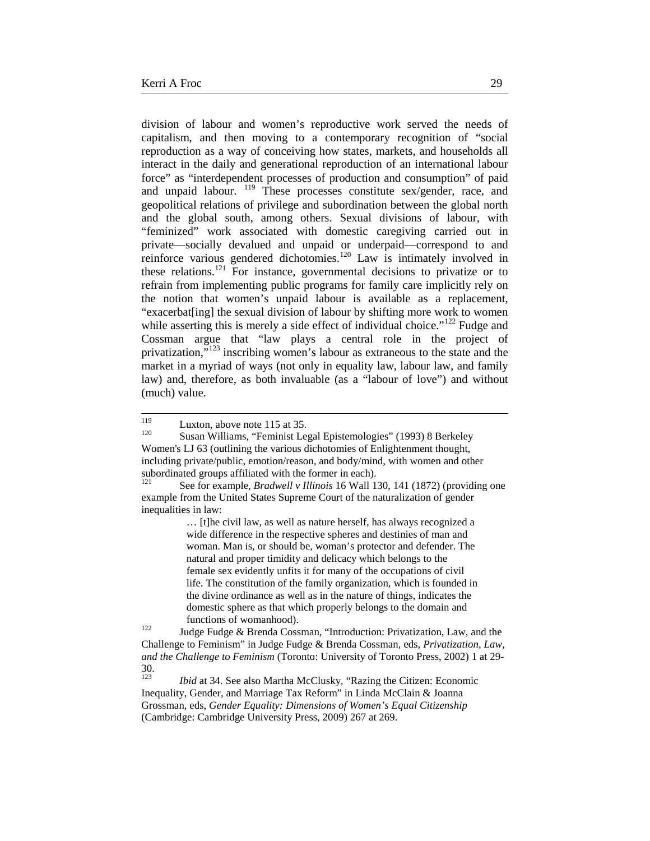division of labour and women's reproductive work served the needs of capitalism, and then moving to a contemporary recognition of "social reproduction as a way of conceiving how states, markets, and households all interact in the daily and generational reproduction of an international labour force" as "interdependent processes of production and consumption" of paid and unpaid labour. <sup>[119](#page-28-0)</sup> These processes constitute sex/gender, race, and geopolitical relations of privilege and subordination between the global north and the global south, among others. Sexual divisions of labour, with "feminized" work associated with domestic caregiving carried out in private—socially devalued and unpaid or underpaid—correspond to and reinforce various gendered dichotomies.[120](#page-28-1) Law is intimately involved in these relations.[121](#page-28-2) For instance, governmental decisions to privatize or to refrain from implementing public programs for family care implicitly rely on the notion that women's unpaid labour is available as a replacement, "exacerbat[ing] the sexual division of labour by shifting more work to women while asserting this is merely a side effect of individual choice."<sup>[122](#page-28-3)</sup> Fudge and Cossman argue that "law plays a central role in the project of privatization, $\frac{1}{2}$ <sup>[123](#page-28-4)</sup> inscribing women's labour as extraneous to the state and the market in a myriad of ways (not only in equality law, labour law, and family law) and, therefore, as both invaluable (as a "labour of love") and without (much) value.

… [t]he civil law, as well as nature herself, has always recognized a wide difference in the respective spheres and destinies of man and woman. Man is, or should be, woman's protector and defender. The natural and proper timidity and delicacy which belongs to the female sex evidently unfits it for many of the occupations of civil life. The constitution of the family organization, which is founded in the divine ordinance as well as in the nature of things, indicates the domestic sphere as that which properly belongs to the domain and

<span id="page-28-3"></span>functions of womanhood).<br><sup>122</sup> Judge Fudge & Brenda Cossman, "Introduction: Privatization, Law, and the Challenge to Feminism" in Judge Fudge & Brenda Cossman, eds, *Privatization, Law, and the Challenge to Feminism* (Toronto: University of Toronto Press, 2002) 1 at 29-  $30.123$ 

<span id="page-28-4"></span>*Ibid* at 34. See also Martha McClusky, "Razing the Citizen: Economic Inequality, Gender, and Marriage Tax Reform" in Linda McClain & Joanna Grossman, eds, *Gender Equality: Dimensions of Women's Equal Citizenship*  (Cambridge: Cambridge University Press, 2009) 267 at 269.

<span id="page-28-1"></span><span id="page-28-0"></span><sup>&</sup>lt;sup>119</sup> Luxton, above note 115 at 35.<br><sup>120</sup> Susan Williams, "Feminist Legal Epistemologies" (1993) 8 Berkeley Women's LJ 63 (outlining the various dichotomies of Enlightenment thought, including private/public, emotion/reason, and body/mind, with women and other subordinated groups affiliated with the former in each).

<span id="page-28-2"></span><sup>121</sup> See for example, *Bradwell v Illinois* 16 Wall 130, 141 (1872) (providing one example from the United States Supreme Court of the naturalization of gender inequalities in law: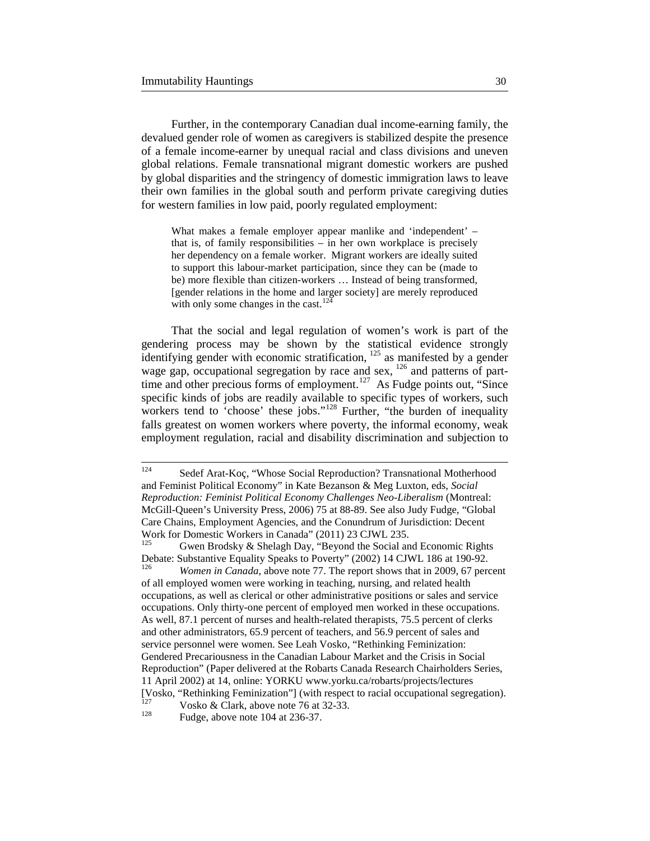Further, in the contemporary Canadian dual income-earning family, the devalued gender role of women as caregivers is stabilized despite the presence of a female income-earner by unequal racial and class divisions and uneven global relations. Female transnational migrant domestic workers are pushed by global disparities and the stringency of domestic immigration laws to leave their own families in the global south and perform private caregiving duties for western families in low paid, poorly regulated employment:

What makes a female employer appear manlike and 'independent' – that is, of family responsibilities – in her own workplace is precisely her dependency on a female worker. Migrant workers are ideally suited to support this labour-market participation, since they can be (made to be) more flexible than citizen-workers … Instead of being transformed, [gender relations in the home and larger society] are merely reproduced with only some changes in the cast.<sup>12</sup>

That the social and legal regulation of women's work is part of the gendering process may be shown by the statistical evidence strongly identifying gender with economic stratification,  $^{125}$  $^{125}$  $^{125}$  as manifested by a gender wage gap, occupational segregation by race and sex,  $126$  and patterns of parttime and other precious forms of employment.<sup>127</sup> As Fudge points out, "Since specific kinds of jobs are readily available to specific types of workers, such workers tend to 'choose' these jobs."<sup>[128](#page-29-4)</sup> Further, "the burden of inequality falls greatest on women workers where poverty, the informal economy, weak employment regulation, racial and disability discrimination and subjection to

11 April 2002) at 14, online: YORKU www.yorku.ca/robarts/projects/lectures

[Vosko, "Rethinking Feminization"] (with respect to racial occupational segregation).

<span id="page-29-4"></span><span id="page-29-3"></span><sup>127</sup> Vosko & Clark, above note 76 at 32-33.<br>
Fudge, above note 104 at 236-37.

<span id="page-29-0"></span> <sup>124</sup> Sedef Arat-Koç, "Whose Social Reproduction? Transnational Motherhood and Feminist Political Economy" in Kate Bezanson & Meg Luxton, eds, *Social Reproduction: Feminist Political Economy Challenges Neo-Liberalism* (Montreal: McGill-Queen's University Press, 2006) 75 at 88-89. See also Judy Fudge, "Global Care Chains, Employment Agencies, and the Conundrum of Jurisdiction: Decent Work for Domestic Workers in Canada" (2011) 23 CJWL 235.

<span id="page-29-2"></span><span id="page-29-1"></span>Gwen Brodsky & Shelagh Day, "Beyond the Social and Economic Rights Debate: Substantive Equality Speaks to Poverty" (2002) 14 CJWL 186 at 190-92. <sup>126</sup> *Women in Canada*, above note 77. The report shows that in 2009, 67 percent of all employed women were working in teaching, nursing, and related health occupations, as well as clerical or other administrative positions or sales and service occupations. Only thirty-one percent of employed men worked in these occupations. As well, 87.1 percent of nurses and health-related therapists, 75.5 percent of clerks and other administrators, 65.9 percent of teachers, and 56.9 percent of sales and service personnel were women. See Leah Vosko, "Rethinking Feminization: Gendered Precariousness in the Canadian Labour Market and the Crisis in Social Reproduction" (Paper delivered at the Robarts Canada Research Chairholders Series,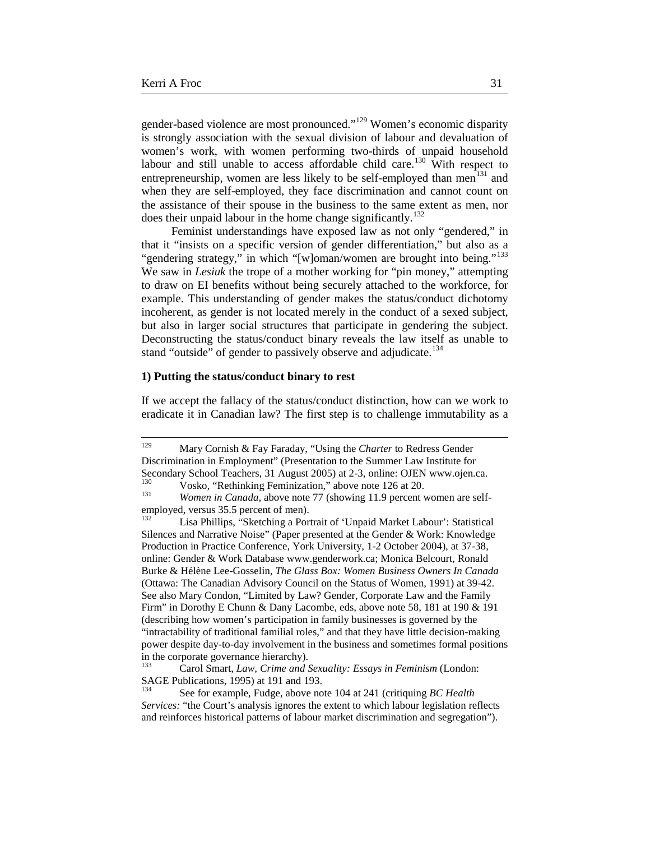gender-based violence are most pronounced."[129](#page-30-0) Women's economic disparity is strongly association with the sexual division of labour and devaluation of women's work, with women performing two-thirds of unpaid household labour and still unable to access affordable child care.<sup>[130](#page-30-1)</sup> With respect to entrepreneurship, women are less likely to be self-employed than men<sup>[131](#page-30-2)</sup> and when they are self-employed, they face discrimination and cannot count on the assistance of their spouse in the business to the same extent as men, nor does their unpaid labour in the home change significantly.<sup>132</sup>

Feminist understandings have exposed law as not only "gendered," in that it "insists on a specific version of gender differentiation," but also as a "gendering strategy," in which "[w]oman/women are brought into being."<sup>[133](#page-30-4)</sup> We saw in *Lesiuk* the trope of a mother working for "pin money," attempting to draw on EI benefits without being securely attached to the workforce, for example. This understanding of gender makes the status/conduct dichotomy incoherent, as gender is not located merely in the conduct of a sexed subject, but also in larger social structures that participate in gendering the subject. Deconstructing the status/conduct binary reveals the law itself as unable to stand "outside" of gender to passively observe and adjudicate.<sup>[134](#page-30-5)</sup>

#### **1) Putting the status/conduct binary to rest**

If we accept the fallacy of the status/conduct distinction, how can we work to eradicate it in Canadian law? The first step is to challenge immutability as a

<span id="page-30-0"></span> <sup>129</sup> Mary Cornish & Fay Faraday, "Using the *Charter* to Redress Gender Discrimination in Employment" (Presentation to the Summer Law Institute for Secondary School Teachers, 31 August 2005) at 2-3, online: OJEN www.ojen.ca.<br><sup>130</sup> Vosko, "Rethinking Feminization," above note 126 at 20.<br>*Women in Canada*, above note 77 (showing 11.9 percent women are self-

<span id="page-30-2"></span><span id="page-30-1"></span>employed, versus 35.5 percent of men).<br><sup>132</sup> Lise Phillips, "Skatabing a Por-

<span id="page-30-3"></span>Lisa Phillips, "Sketching a Portrait of 'Unpaid Market Labour': Statistical Silences and Narrative Noise" (Paper presented at the Gender & Work: Knowledge Production in Practice Conference, York University, 1-2 October 2004), at 37-38, online: Gender & Work Database www.genderwork.ca; Monica Belcourt, Ronald Burke & Hélène Lee-Gosselin, *The Glass Box: Women Business Owners In Canada*  (Ottawa: The Canadian Advisory Council on the Status of Women, 1991) at 39-42. See also Mary Condon, "Limited by Law? Gender, Corporate Law and the Family Firm" in Dorothy E Chunn & Dany Lacombe, eds, above note 58, 181 at 190 & 191 (describing how women's participation in family businesses is governed by the "intractability of traditional familial roles," and that they have little decision-making power despite day-to-day involvement in the business and sometimes formal positions in the corporate governance hierarchy).

<span id="page-30-4"></span><sup>133</sup> Carol Smart, *Law, Crime and Sexuality: Essays in Feminism* (London: SAGE Publications, 1995) at 191 and 193.

<span id="page-30-5"></span><sup>134</sup> See for example, Fudge, above note 104 at 241 (critiquing *BC Health Services:* "the Court's analysis ignores the extent to which labour legislation reflects and reinforces historical patterns of labour market discrimination and segregation").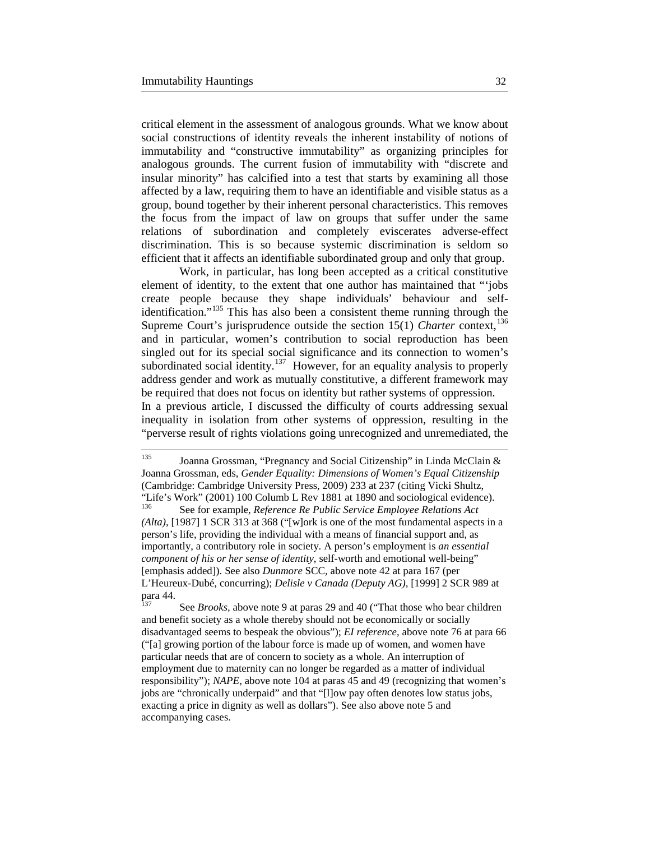critical element in the assessment of analogous grounds. What we know about social constructions of identity reveals the inherent instability of notions of immutability and "constructive immutability" as organizing principles for analogous grounds. The current fusion of immutability with "discrete and insular minority" has calcified into a test that starts by examining all those affected by a law, requiring them to have an identifiable and visible status as a group, bound together by their inherent personal characteristics. This removes the focus from the impact of law on groups that suffer under the same relations of subordination and completely eviscerates adverse-effect discrimination. This is so because systemic discrimination is seldom so efficient that it affects an identifiable subordinated group and only that group.

Work, in particular, has long been accepted as a critical constitutive element of identity, to the extent that one author has maintained that "'jobs create people because they shape individuals' behaviour and self-identification."<sup>[135](#page-31-0)</sup> This has also been a consistent theme running through the Supreme Court's jurisprudence outside the section  $15(1)$  *Charter* context,<sup>[136](#page-31-1)</sup> and in particular, women's contribution to social reproduction has been singled out for its special social significance and its connection to women's subordinated social identity.<sup>137</sup> However, for an equality analysis to properly address gender and work as mutually constitutive, a different framework may be required that does not focus on identity but rather systems of oppression. In a previous article, I discussed the difficulty of courts addressing sexual inequality in isolation from other systems of oppression, resulting in the "perverse result of rights violations going unrecognized and unremediated, the

<span id="page-31-1"></span><span id="page-31-0"></span> <sup>135</sup> Joanna Grossman, "Pregnancy and Social Citizenship" in Linda McClain & Joanna Grossman, eds, *Gender Equality: Dimensions of Women's Equal Citizenship*  (Cambridge: Cambridge University Press, 2009) 233 at 237 (citing Vicki Shultz, "Life's Work" (2001) 100 Columb L Rev 1881 at 1890 and sociological evidence).<br> $^{136}$  See for example *Reference Re Public Service Employee Relations Act* <sup>136</sup> See for example, *Reference Re Public Service Employee Relations Act (Alta)*, [1987] 1 SCR 313 at 368 ("[w]ork is one of the most fundamental aspects in a person's life, providing the individual with a means of financial support and, as importantly, a contributory role in society. A person's employment is *an essential component of his or her sense of identity*, self-worth and emotional well-being" [emphasis added]). See also *Dunmore* SCC*,* above note 42 at para 167 (per L'Heureux-Dubé, concurring); *Delisle v Canada (Deputy AG),* [1999] 2 SCR 989 at para 44.

<span id="page-31-2"></span>See *Brooks*, above note 9 at paras 29 and 40 ("That those who bear children and benefit society as a whole thereby should not be economically or socially disadvantaged seems to bespeak the obvious"); *EI reference*, above note 76 at para 66 ("[a] growing portion of the labour force is made up of women, and women have particular needs that are of concern to society as a whole. An interruption of employment due to maternity can no longer be regarded as a matter of individual responsibility"); *NAPE*, above note 104 at paras 45 and 49 (recognizing that women's jobs are "chronically underpaid" and that "[l]ow pay often denotes low status jobs, exacting a price in dignity as well as dollars"). See also above note 5 and accompanying cases.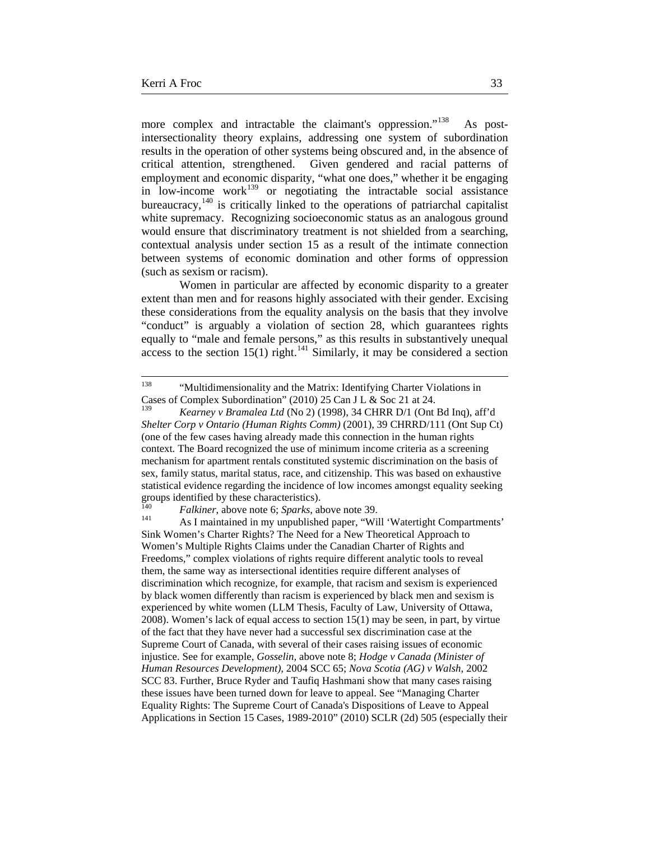more complex and intractable the claimant's oppression."<sup>[138](#page-32-0)</sup> As postintersectionality theory explains, addressing one system of subordination results in the operation of other systems being obscured and, in the absence of critical attention, strengthened. Given gendered and racial patterns of employment and economic disparity, "what one does," whether it be engaging in low-income work<sup>[139](#page-32-1)</sup> or negotiating the intractable social assistance bureaucracy,<sup>[140](#page-32-2)</sup> is critically linked to the operations of patriarchal capitalist white supremacy. Recognizing socioeconomic status as an analogous ground would ensure that discriminatory treatment is not shielded from a searching, contextual analysis under section 15 as a result of the intimate connection between systems of economic domination and other forms of oppression (such as sexism or racism).

Women in particular are affected by economic disparity to a greater extent than men and for reasons highly associated with their gender. Excising these considerations from the equality analysis on the basis that they involve "conduct" is arguably a violation of section 28, which guarantees rights equally to "male and female persons," as this results in substantively unequal access to the section  $15(1)$  right.<sup>[141](#page-32-3)</sup> Similarly, it may be considered a section

<span id="page-32-0"></span><sup>&</sup>lt;sup>138</sup> "Multidimensionality and the Matrix: Identifying Charter Violations in Cases of Complex Subordination" (2010) 25 Can J L & Soc 21 at 24.

<span id="page-32-1"></span>Kearney v Bramalea Ltd (No 2) (1998), 34 CHRR D/1 (Ont Bd Inq), aff'd *Shelter Corp v Ontario (Human Rights Comm)* (2001), 39 CHRRD/111 (Ont Sup Ct) (one of the few cases having already made this connection in the human rights context. The Board recognized the use of minimum income criteria as a screening mechanism for apartment rentals constituted systemic discrimination on the basis of sex, family status, marital status, race, and citizenship. This was based on exhaustive statistical evidence regarding the incidence of low incomes amongst equality seeking groups identified by these characteristics).

<span id="page-32-3"></span><span id="page-32-2"></span><sup>&</sup>lt;sup>140</sup> *Falkiner*, above note 6; *Sparks*, above note 39.<br><sup>141</sup> As I maintained in my unpublished paper, "Will 'Watertight Compartments' Sink Women's Charter Rights? The Need for a New Theoretical Approach to Women's Multiple Rights Claims under the Canadian Charter of Rights and Freedoms," complex violations of rights require different analytic tools to reveal them, the same way as intersectional identities require different analyses of discrimination which recognize, for example, that racism and sexism is experienced by black women differently than racism is experienced by black men and sexism is experienced by white women (LLM Thesis, Faculty of Law, University of Ottawa, 2008). Women's lack of equal access to section 15(1) may be seen, in part, by virtue of the fact that they have never had a successful sex discrimination case at the Supreme Court of Canada, with several of their cases raising issues of economic injustice. See for example, *Gosselin,* above note 8; *Hodge v Canada (Minister of Human Resources Development),* 2004 SCC 65; *Nova Scotia (AG) v Walsh,* 2002 SCC 83. Further, Bruce Ryder and Taufiq Hashmani show that many cases raising these issues have been turned down for leave to appeal. See "Managing Charter Equality Rights: The Supreme Court of Canada's Dispositions of Leave to Appeal Applications in Section 15 Cases, 1989-2010" (2010) SCLR (2d) 505 (especially their